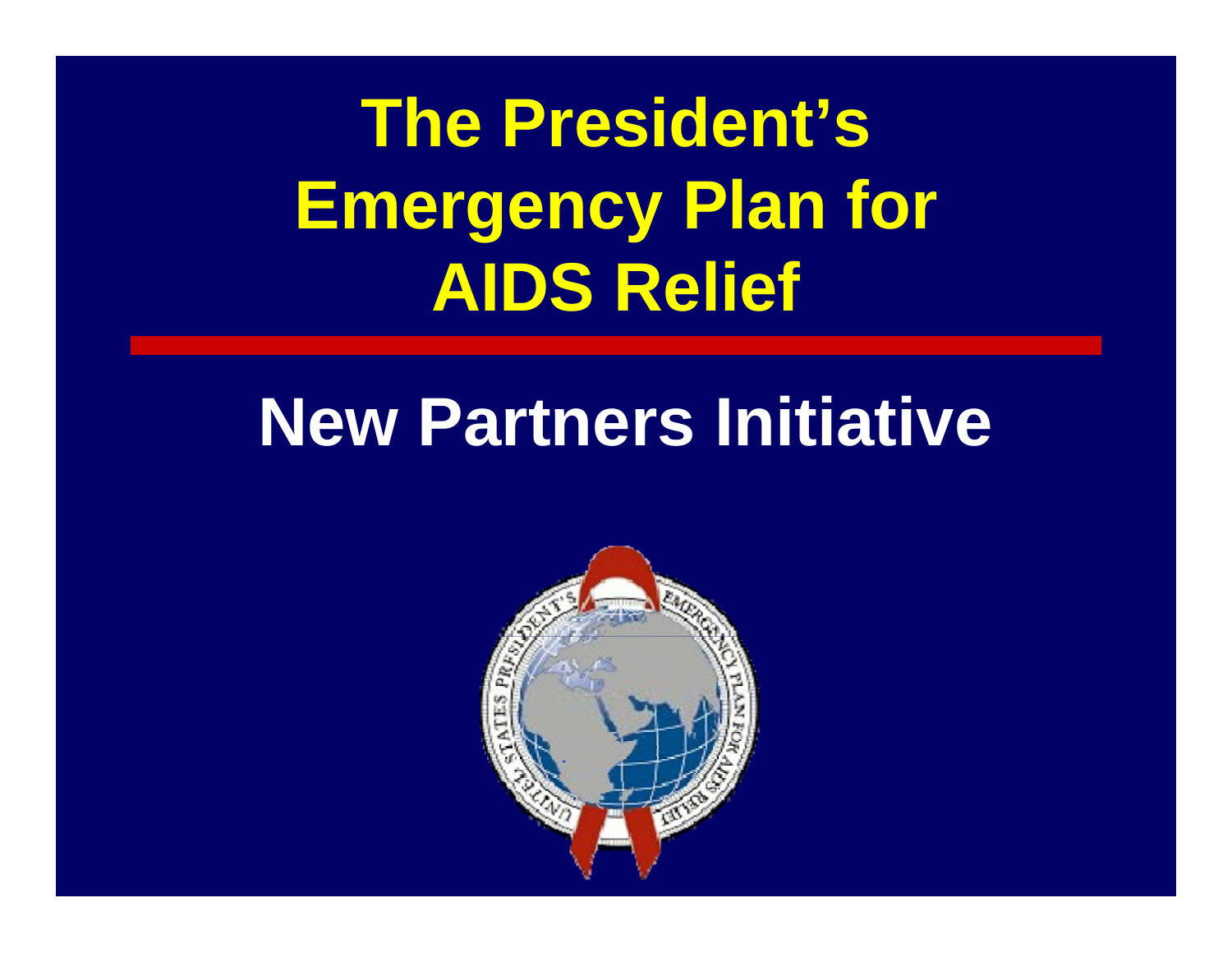**The President's Emergency Plan for AIDS Relief**

# **New Partners Initiative**

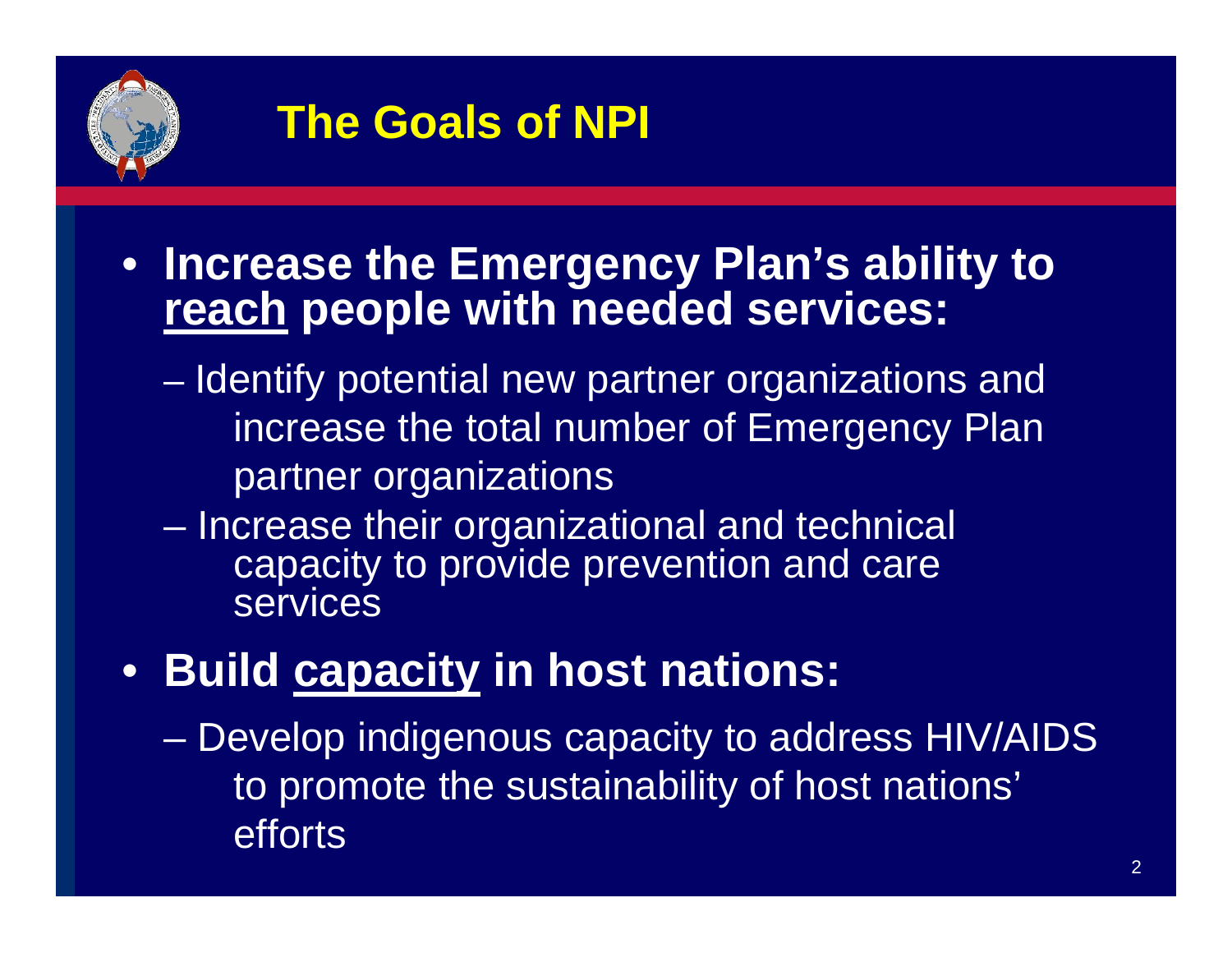

### **The Goals of NPI**

- **Increase the Emergency Plan's ability to reach people with needed services:**
	- Identify potential new partner organizations and increase the total number of Emergency Plan partner organizations
	- – Increase their organizational and technical capacity to provide prevention and care **services**
- **Build capacity in host nations:**
	- – Develop indigenous capacity to address HIV/AIDS to promote the sustainability of host nations' efforts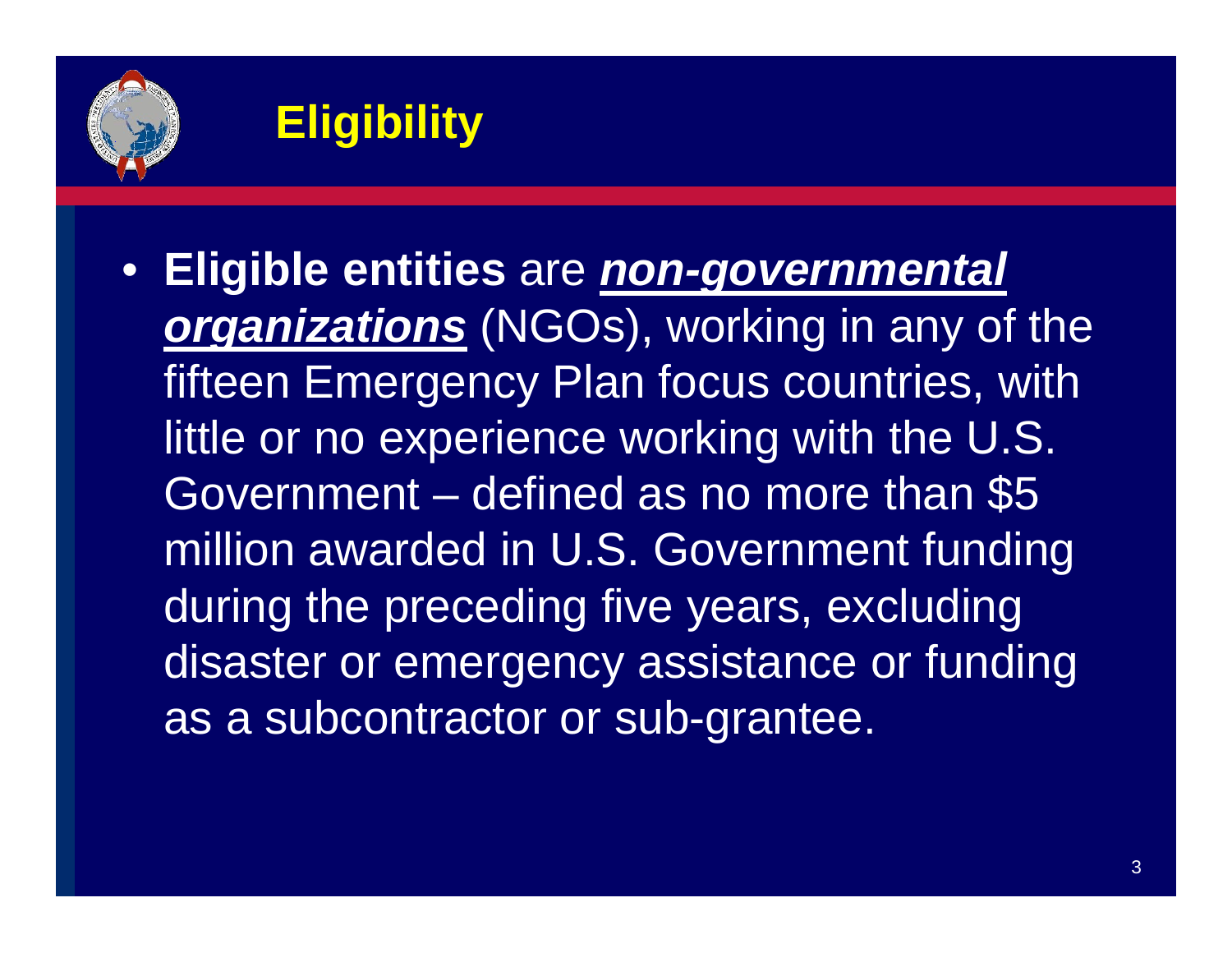

### **Eligibility**

• **Eligible entities** are *non-governmental organizations* (NGOs), working in any of the fifteen Emergency Plan focus countries, with little or no experience working with the U.S. Government – defined as no more than \$5 million awarded in U.S. Government funding during the preceding five years, excluding disaster or emergency assistance or funding as a subcontractor or sub-grantee.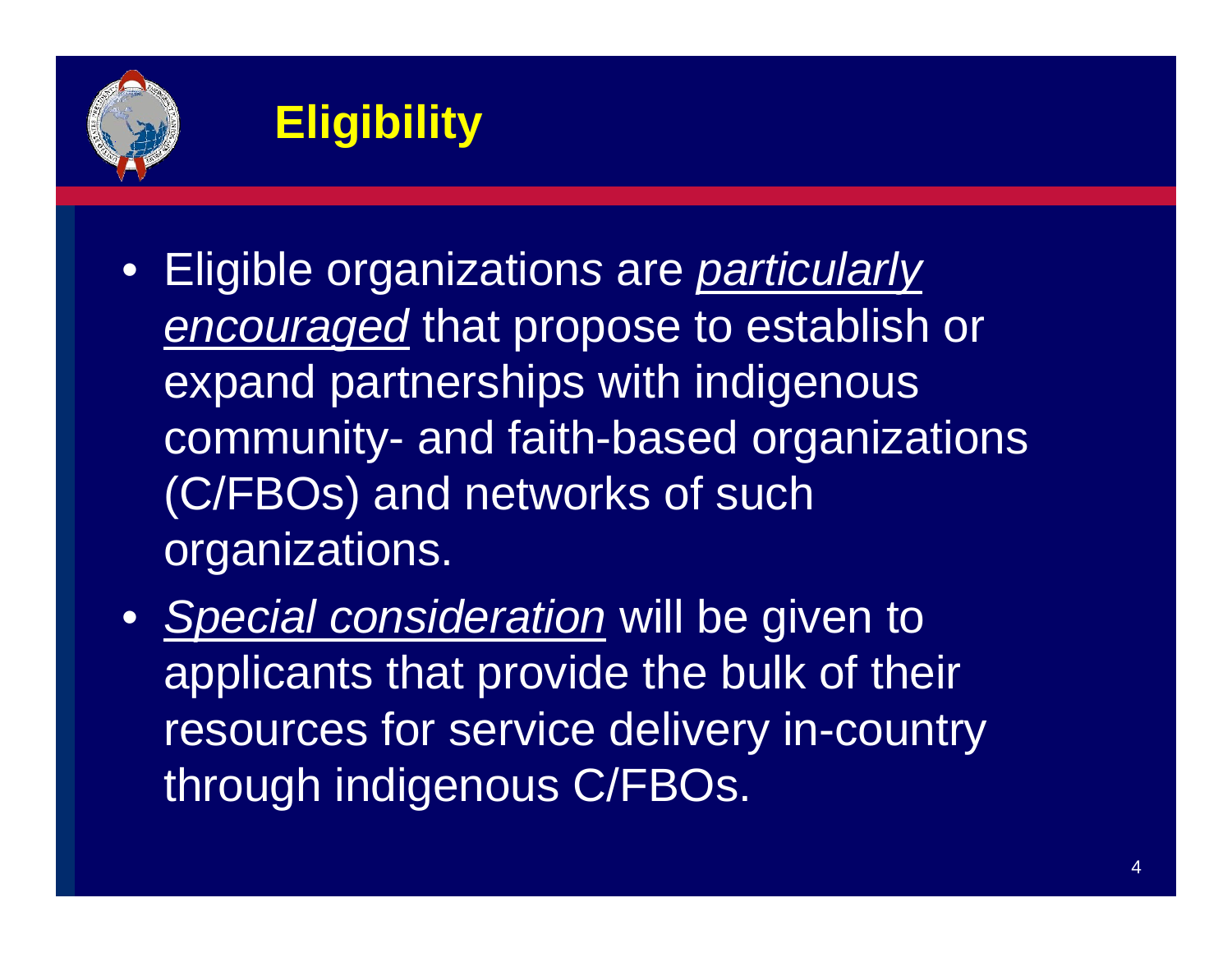

# **Eligibility**

- Eligible organization*<sup>s</sup>* are *particularly encouraged* that propose to establish or expand partnerships with indigenous community- and faith-based organizations (C/FBOs) and networks of such organizations.
- *Special consideration* will be given to applicants that provide the bulk of their resources for service delivery in-country through indigenous C/FBOs.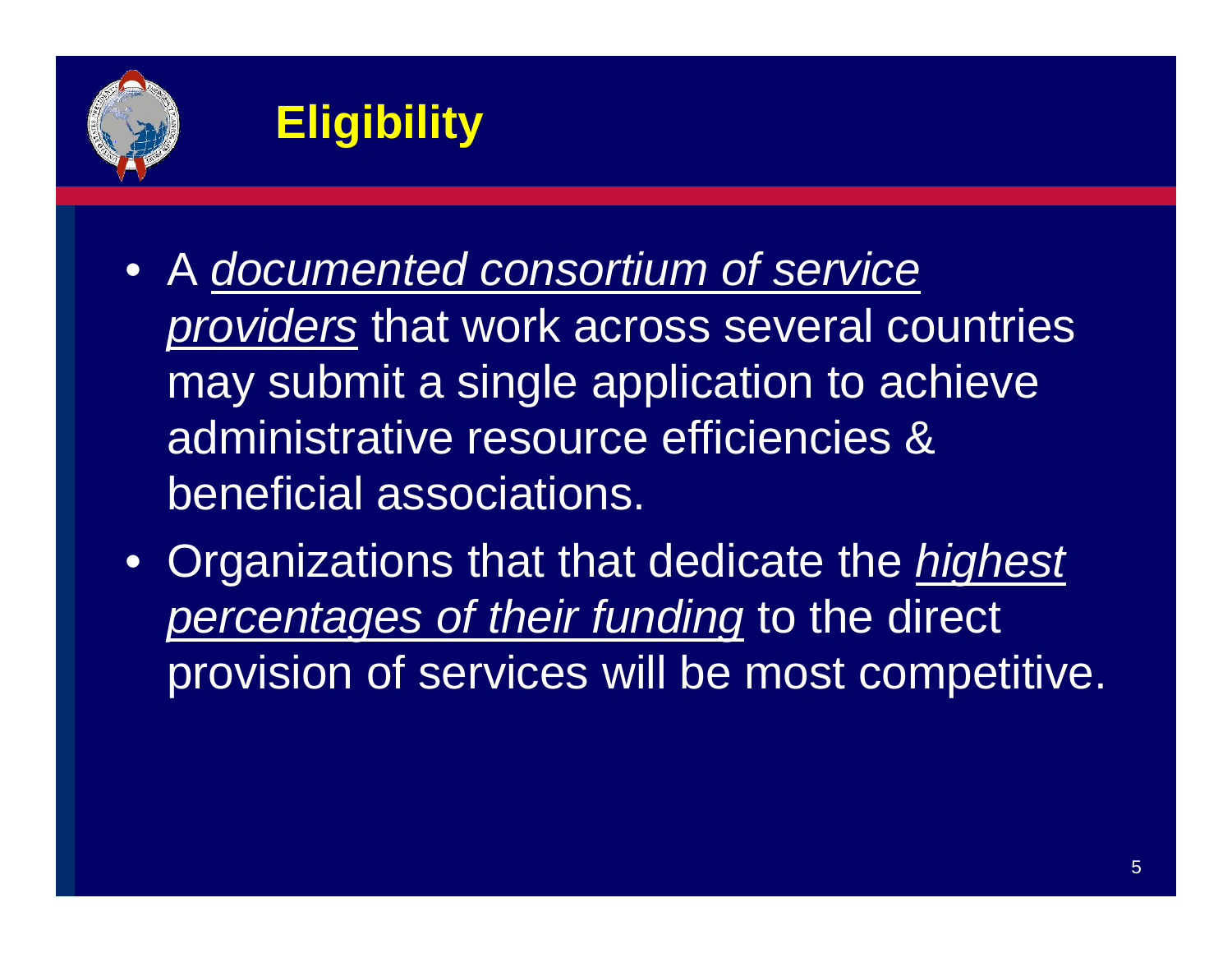

### **Eligibility**

- A *documented consortium of service providers* that work across several countries may submit a single application to achieve administrative resource efficiencies & beneficial associations.
- $\bullet$  Organizations that that dedicate the *highest percentages of their funding* to the direct provision of services will be most competitive.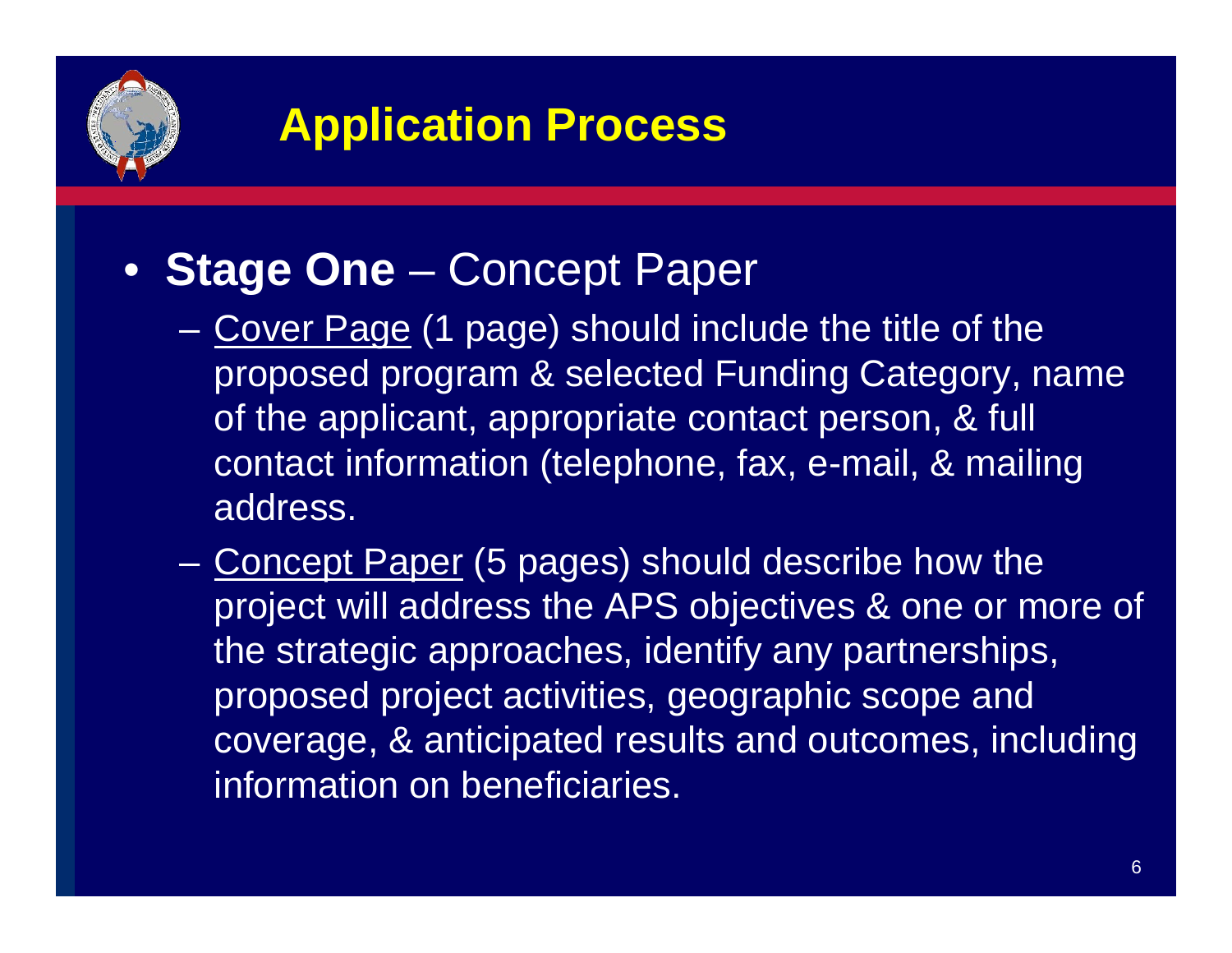

#### • **Stage One** – Concept Paper

- Cover Page (1 page) should include the title of the proposed program & selected Funding Category, name of the applicant, appropriate contact person, & full contact information (telephone, fax, e-mail, & mailing address.
- Concept Paper (5 pages) should describe how the project will address the APS objectives & one or more of the strategic approaches, identify any partnerships, proposed project activities, geographic scope and coverage, & anticipated results and outcomes, including information on beneficiaries.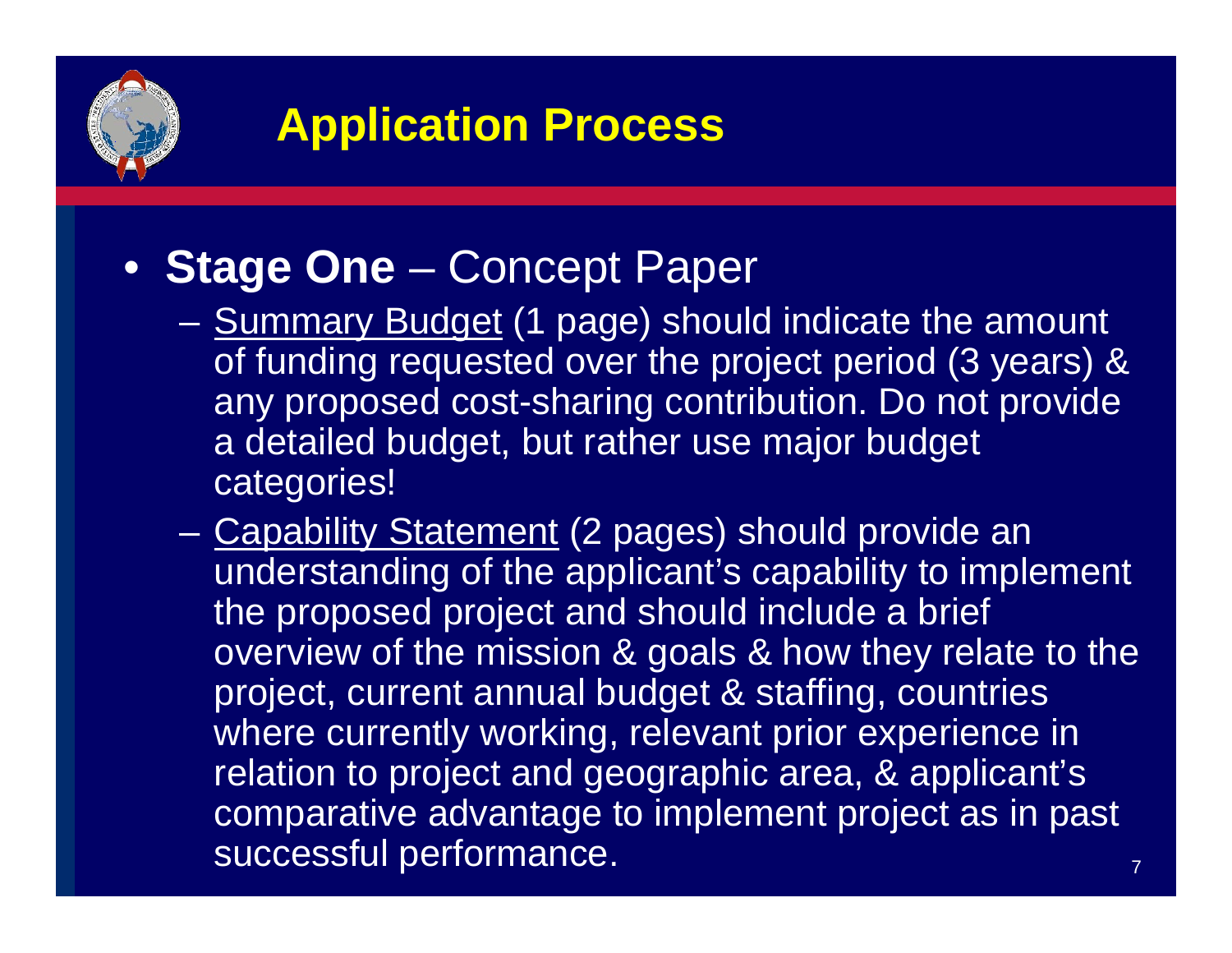

#### • **Stage One** – Concept Paper

- Summary Budget (1 page) should indicate the amount of funding requested over the project period (3 years) & any proposed cost-sharing contribution. Do not provide a detailed budget, but rather use major budget categories!
- 7– Capability Statement (2 pages) should provide an understanding of the applicant's capability to implement the proposed project and should include a brief overview of the mission & goals & how they relate to the project, current annual budget & staffing, countries where currently working, relevant prior experience in relation to project and geographic area, & applicant's comparative advantage to implement project as in past successful performance.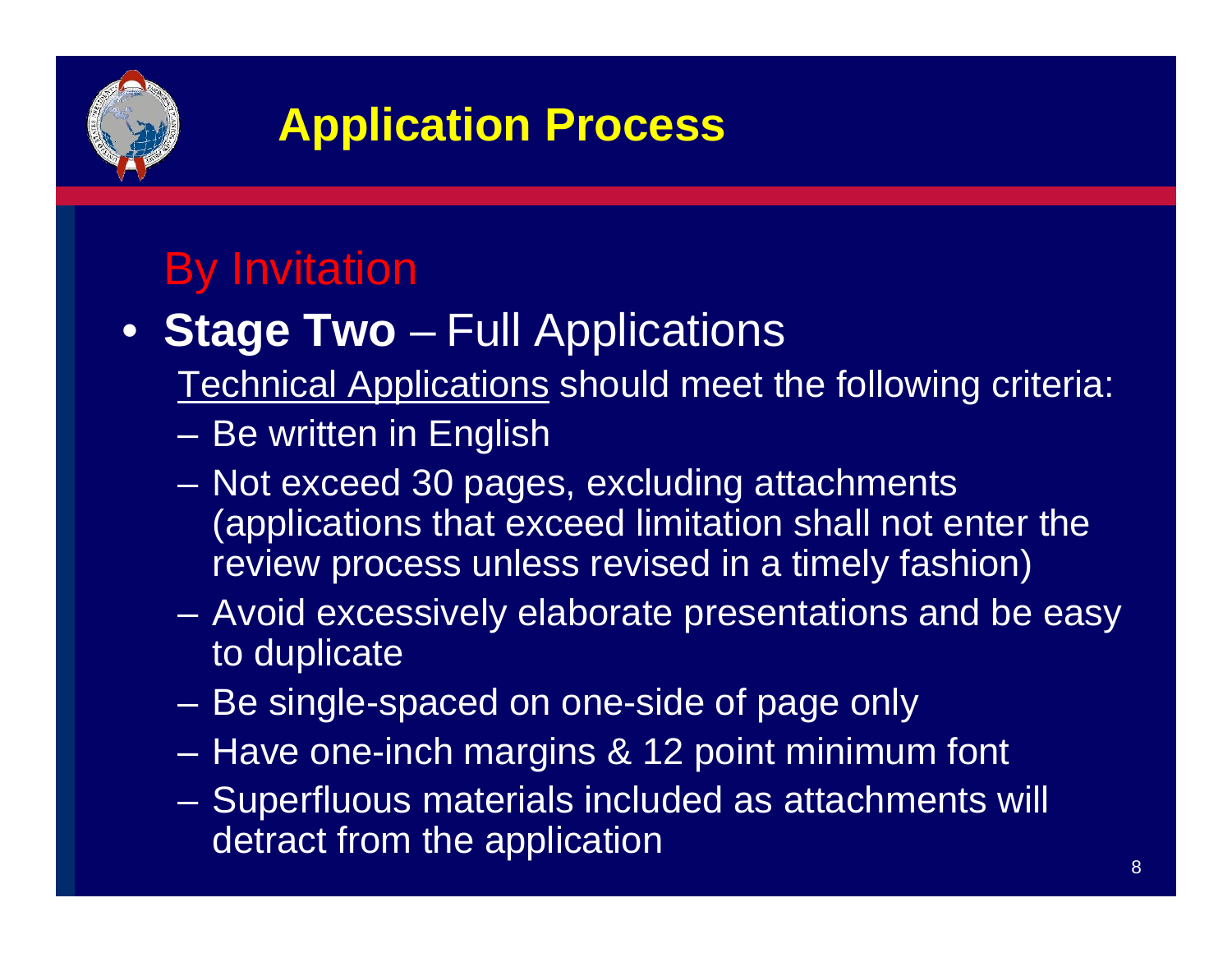

#### By Invitation

- **Stage Two** Full Applications
	- Technical Applications should meet the following criteria:
	- Be written in English
	- Not exceed 30 pages, excluding attachments (applications that exceed limitation shall not enter the review process unless revised in a timely fashion)
	- Avoid excessively elaborate presentations and be easy to duplicate
	- Be single-spaced on one-side of page only
	- Have one-inch margins & 12 point minimum font
	- Superfluous materials included as attachments will detract from the application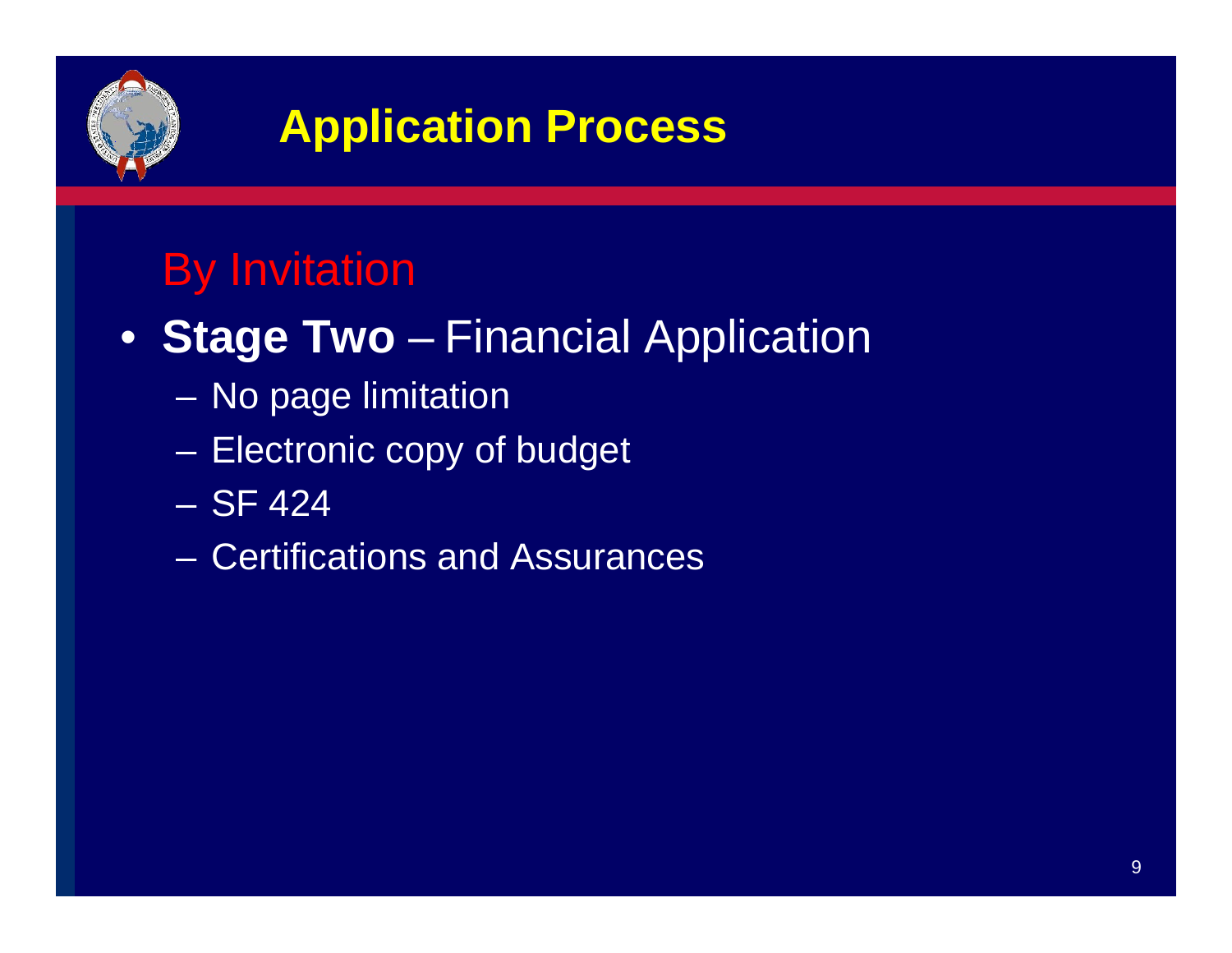

#### By Invitation

- **Stage Two** Financial Application
	- –No page limitation
	- –Electronic copy of budget
	- SF 424
	- Certifications and Assurances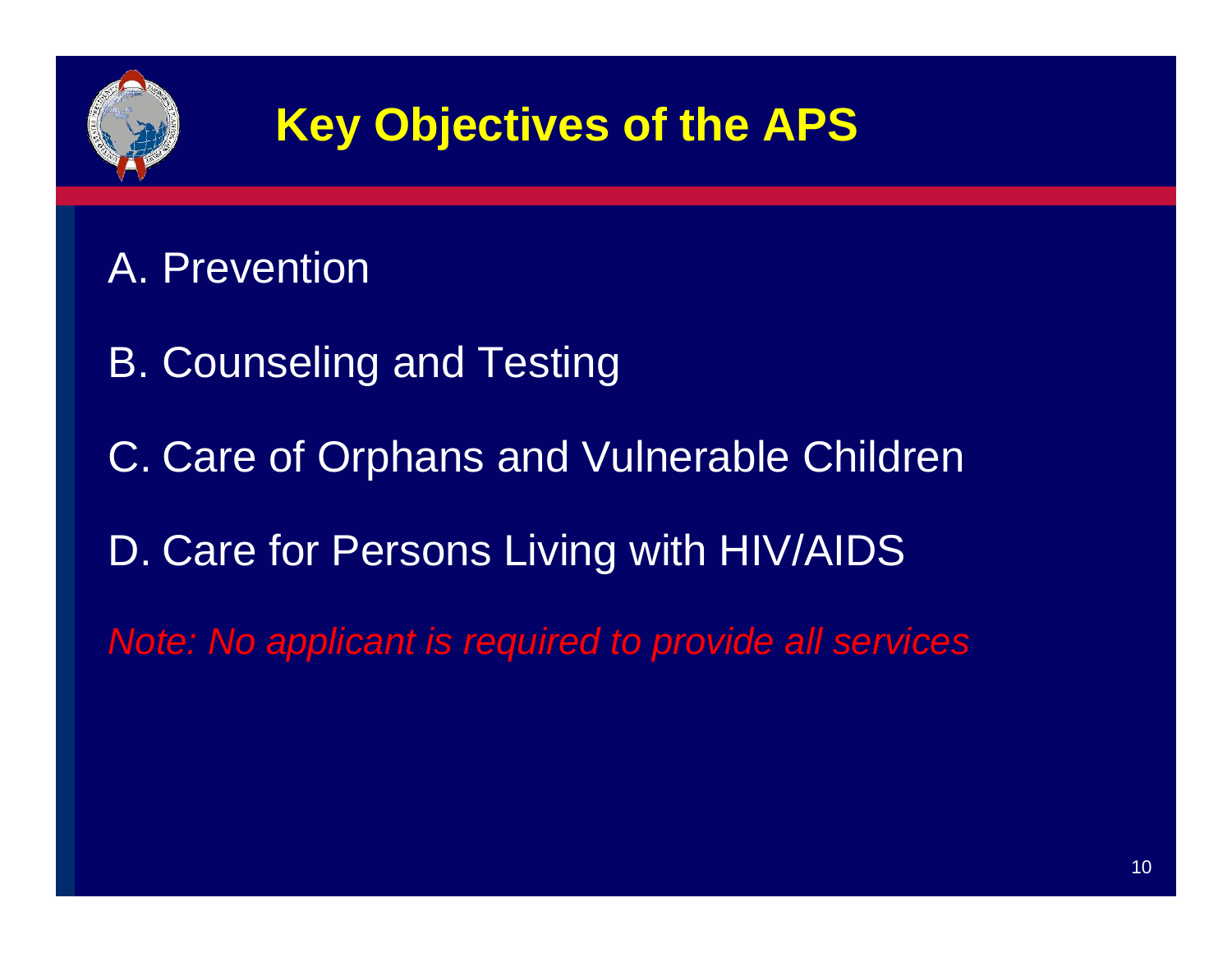

#### A. Prevention

B. Counseling and Testing

C. Care of Orphans and Vulnerable Children

D. Care for Persons Living with HIV/AIDS

*Note: No applicant is required to provide all services*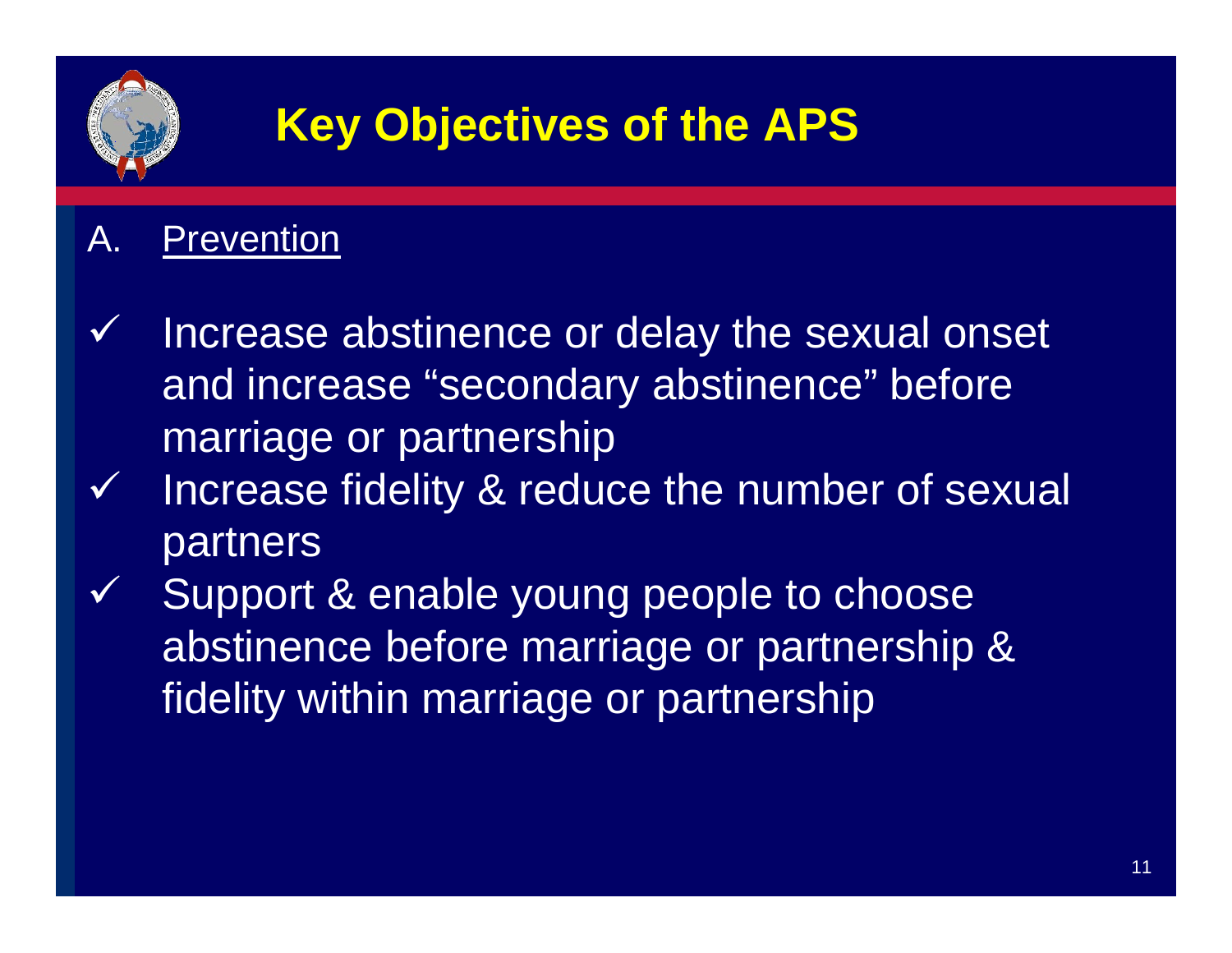

#### A. Prevention

- $\checkmark$  Increase abstinence or delay the sexual onset and increase "secondary abstinence" before marriage or partnership
- $\checkmark$  Increase fidelity & reduce the number of sexual partners
- $\checkmark$ Support & enable young people to choose abstinence before marriage or partnership & fidelity within marriage or partnership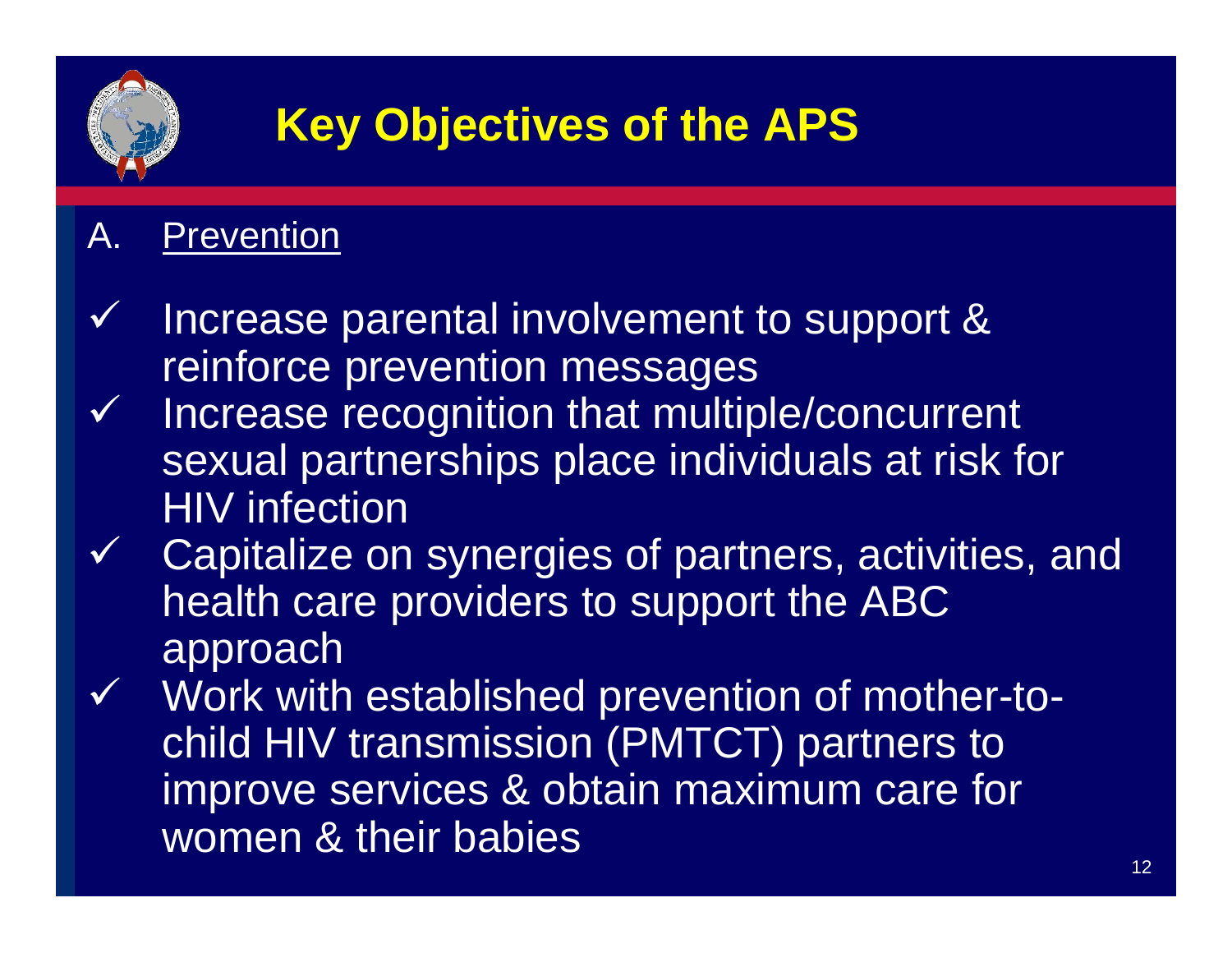

#### A. Prevention

- $\checkmark$  Increase parental involvement to support & reinforce prevention messages
- $\checkmark$  Increase recognition that multiple/concurrent sexual partnerships place individuals at risk for HIV infection
- $\checkmark$  Capitalize on synergies of partners, activities, and health care providers to support the ABC approach
- $\checkmark$  Work with established prevention of mother-tochild HIV transmission (PMTCT) partners to improve services & obtain maximum care for women & their babies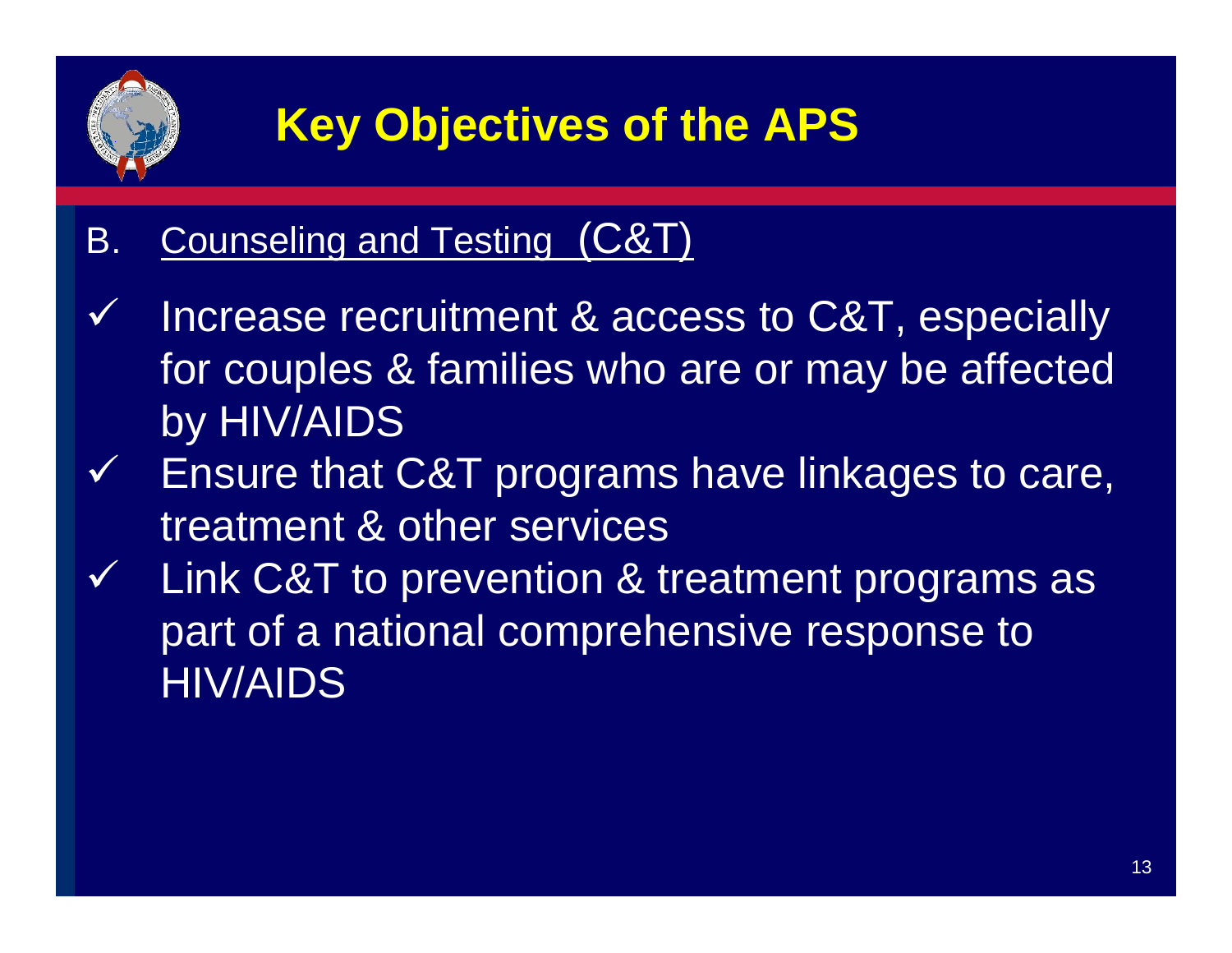

#### B. Counseling and Testing (C&T)

- $\blacktriangledown$  Increase recruitment & access to C&T, especially for couples & families who are or may be affected by HIV/AIDS
- $\checkmark$  Ensure that C&T programs have linkages to care, treatment & other services
- $\checkmark$  Link C&T to prevention & treatment programs as part of a national comprehensive response to HIV/AIDS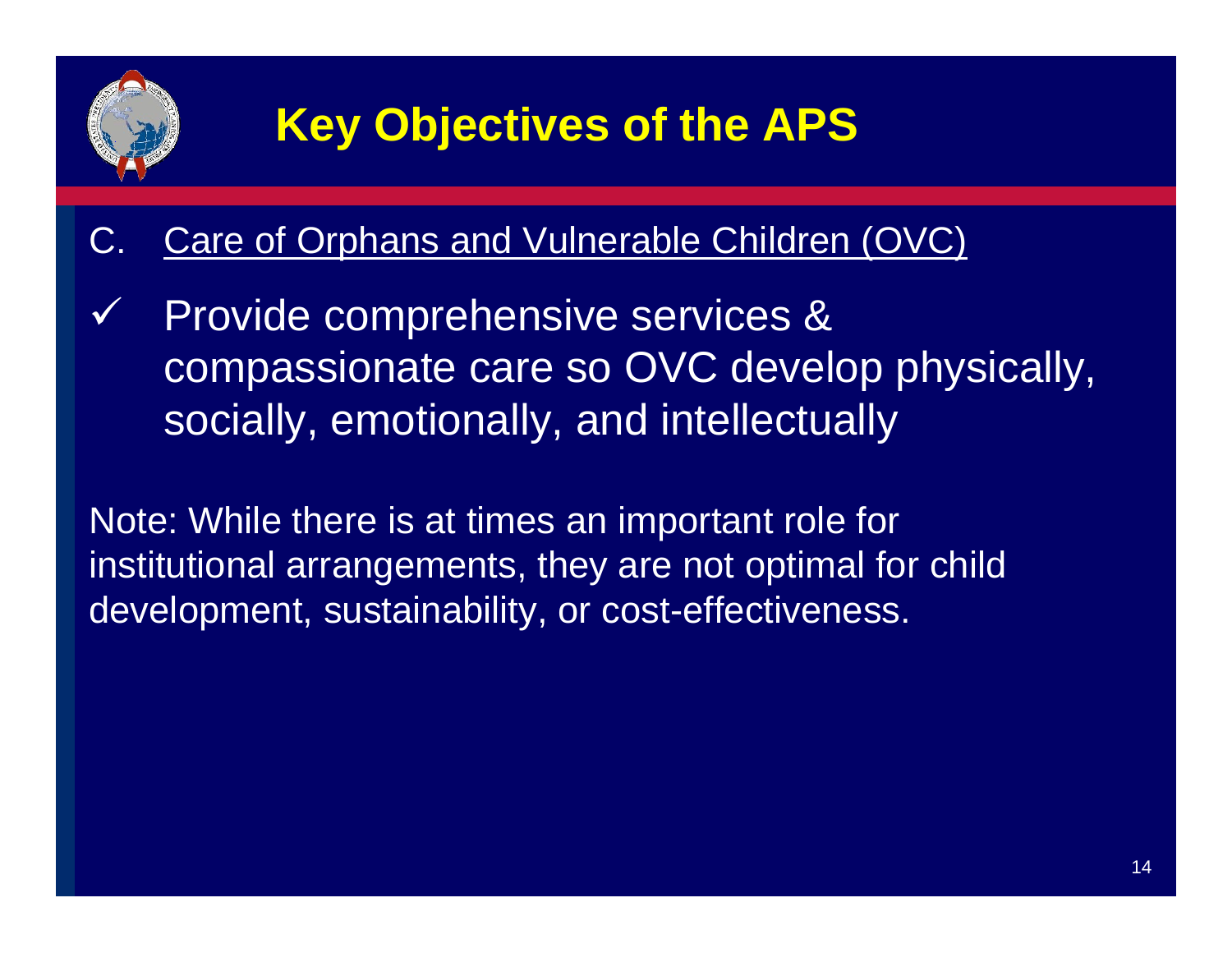

#### C. Care of Orphans and Vulnerable Children (OVC)

 $\checkmark$  Provide comprehensive services & compassionate care so OVC develop physically, socially, emotionally, and intellectually

Note: While there is at times an important role for institutional arrangements, they are not optimal for child development, sustainability, or cost-effectiveness.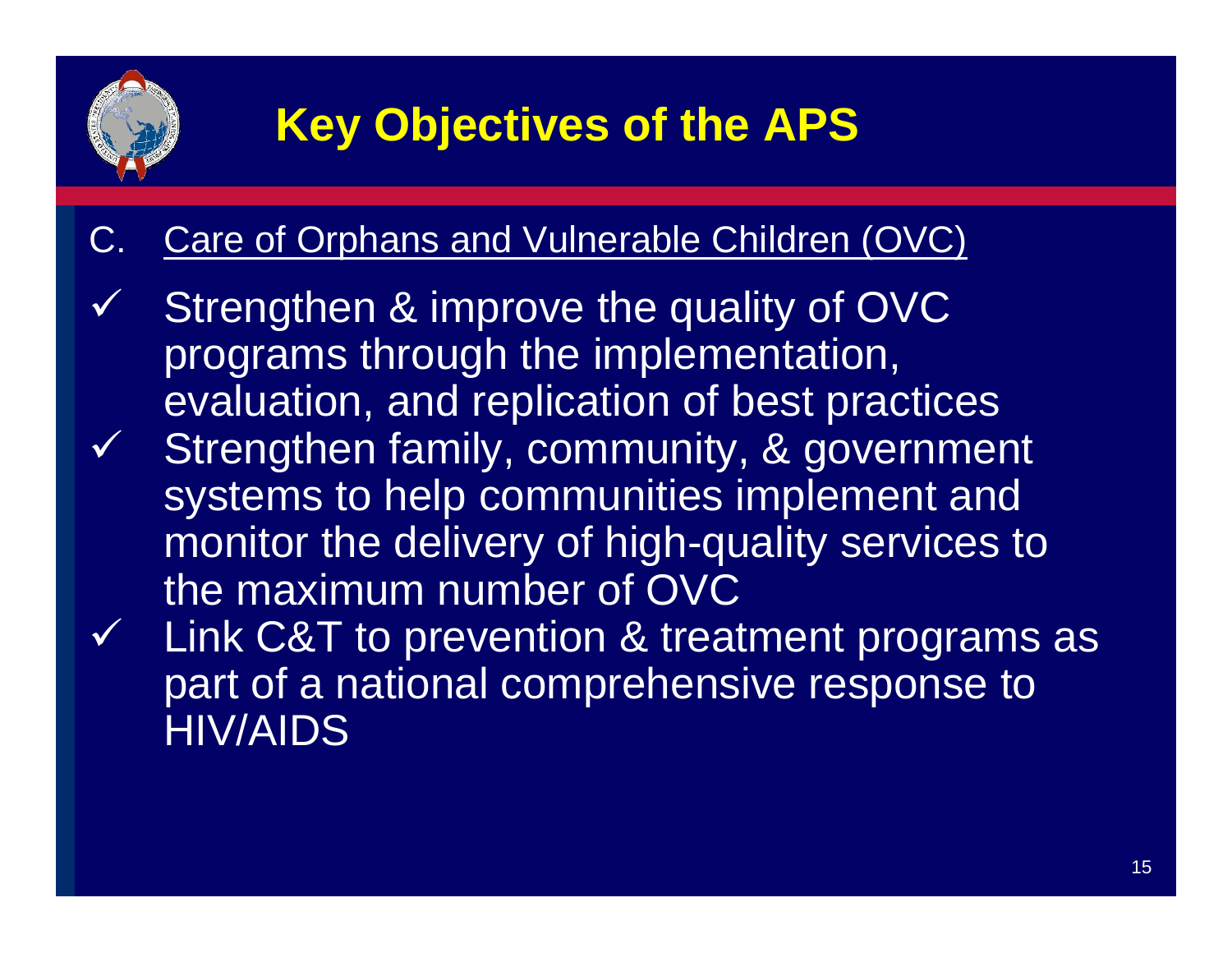

#### Care of Orphans and Vulnerable Children (OVC)

- $\checkmark$  Strengthen & improve the quality of OVC programs through the implementation, evaluation, and replication of best practices  $\checkmark$  Strengthen family, community, & government systems to help communities implement and monitor the delivery of high-quality services to the maximum number of OVC $\checkmark$  Link C&T to prevention & treatment programs as
	- part of a national comprehensive response to HIV/AIDS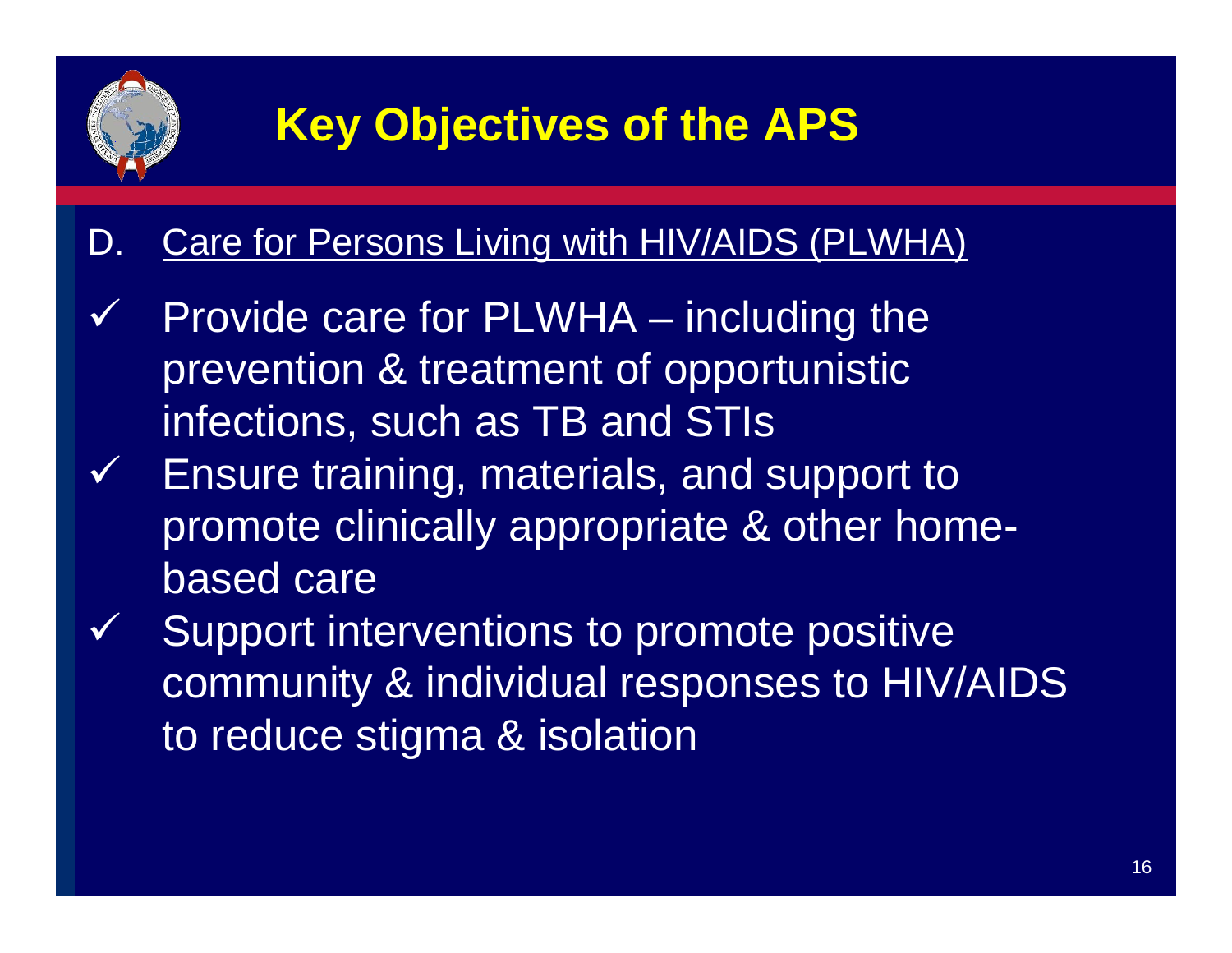

#### D. Care for Persons Living with HIV/AIDS (PLWHA)

- $\checkmark$  Provide care for PLWHA – including the prevention & treatment of opportunistic infections, such as TB and STIs
- $\checkmark$  Ensure training, materials, and support to promote clinically appropriate & other homebased care
- $\checkmark$  Support interventions to promote positive community & individual responses to HIV/AIDS to reduce stigma & isolation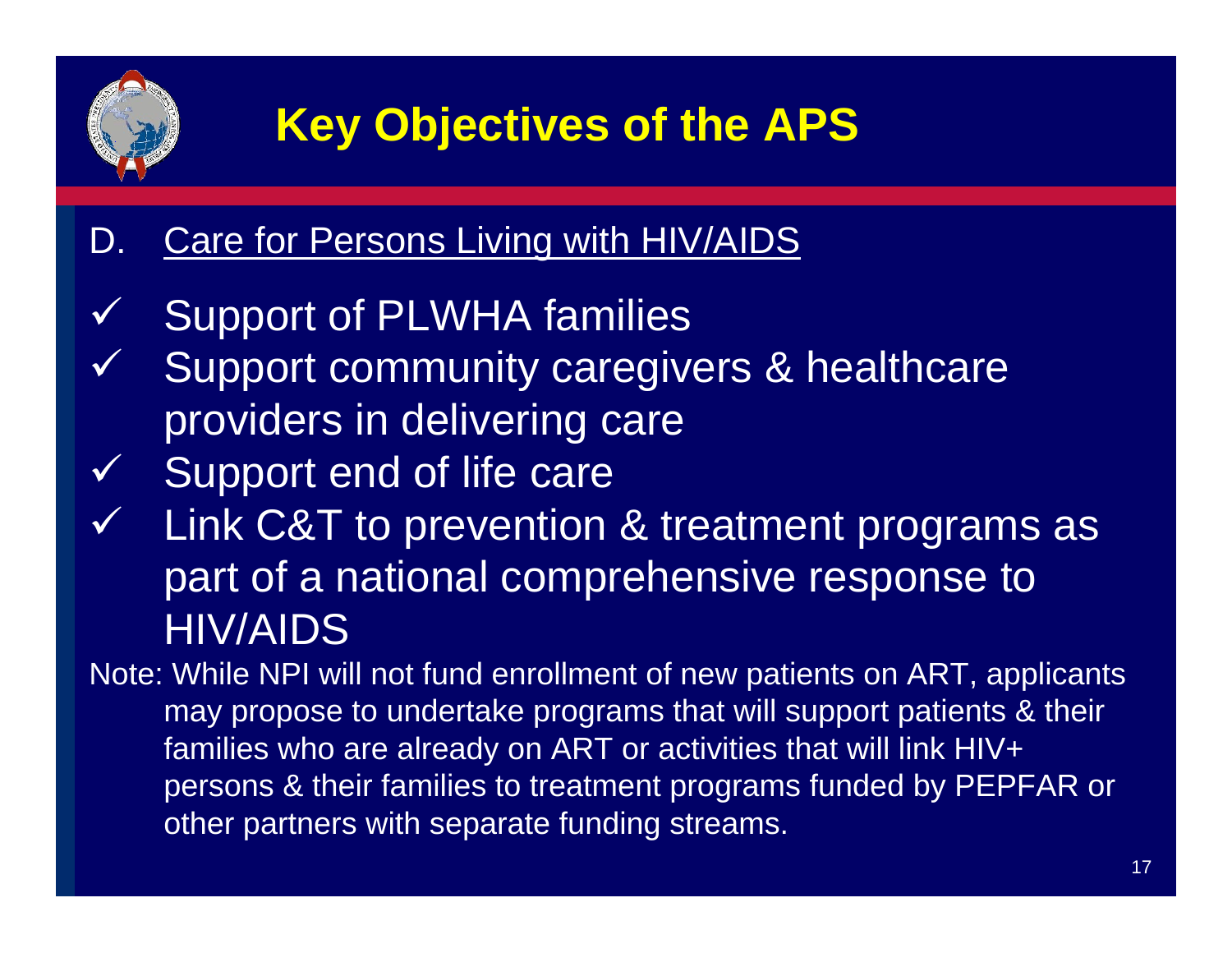

#### D. Care for Persons Living with HIV/AIDS

- $\checkmark$ Support of PLWHA families
- $\checkmark$  Support community caregivers & healthcare providers in delivering care
- $\checkmark$  Support end of life care
- $\checkmark$ Link C&T to prevention & treatment programs as part of a national comprehensive response to HIV/AIDS

Note: While NPI will not fund enrollment of new patients on ART, applicants may propose to undertake programs that will support patients & their families who are already on ART or activities that will link HIV+ persons & their families to treatment programs funded by PEPFAR or other partners with separate funding streams.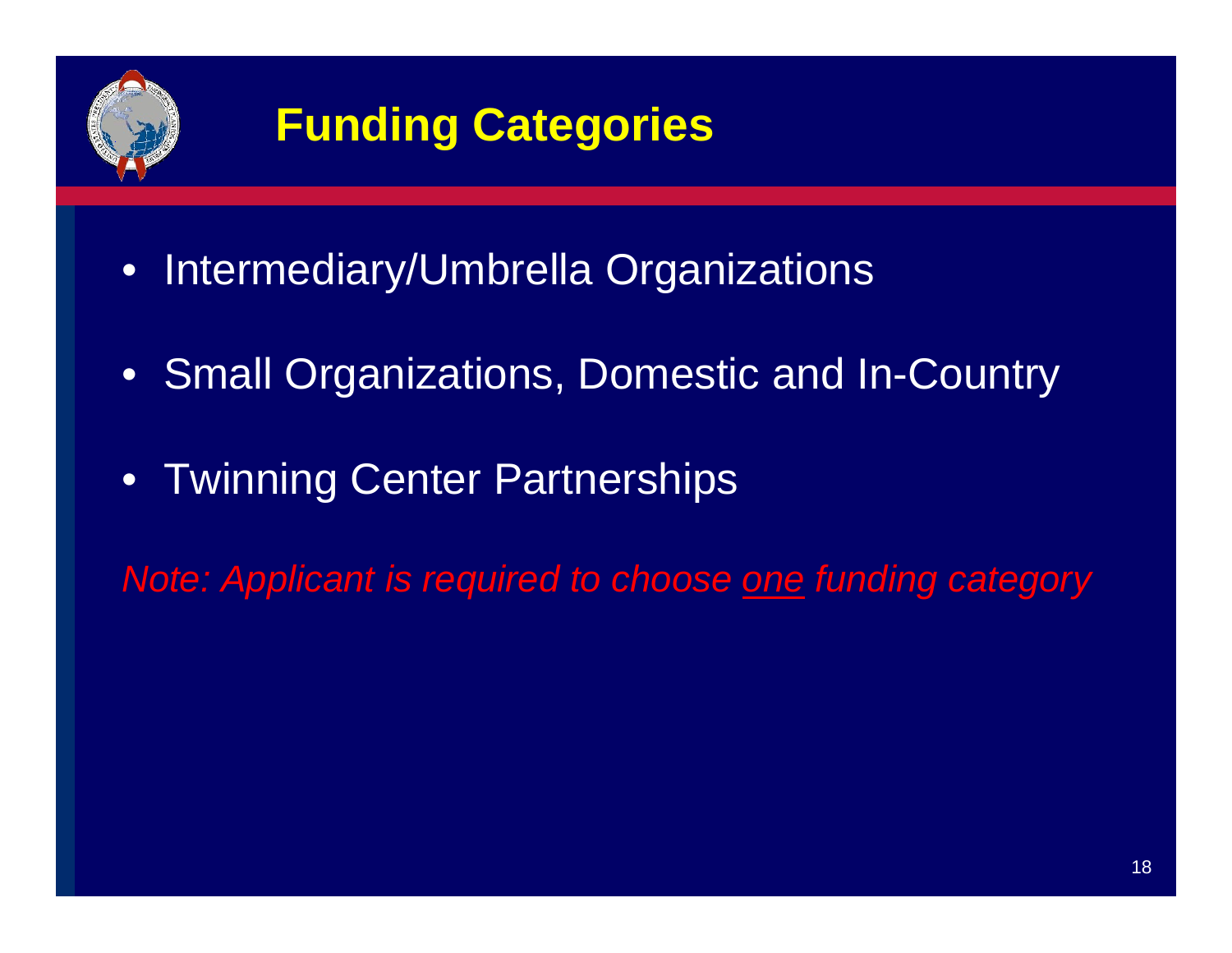

- Intermediary/Umbrella Organizations
- Small Organizations, Domestic and In-Country
- Twinning Center Partnerships

*Note: Applicant is required to choose one funding category*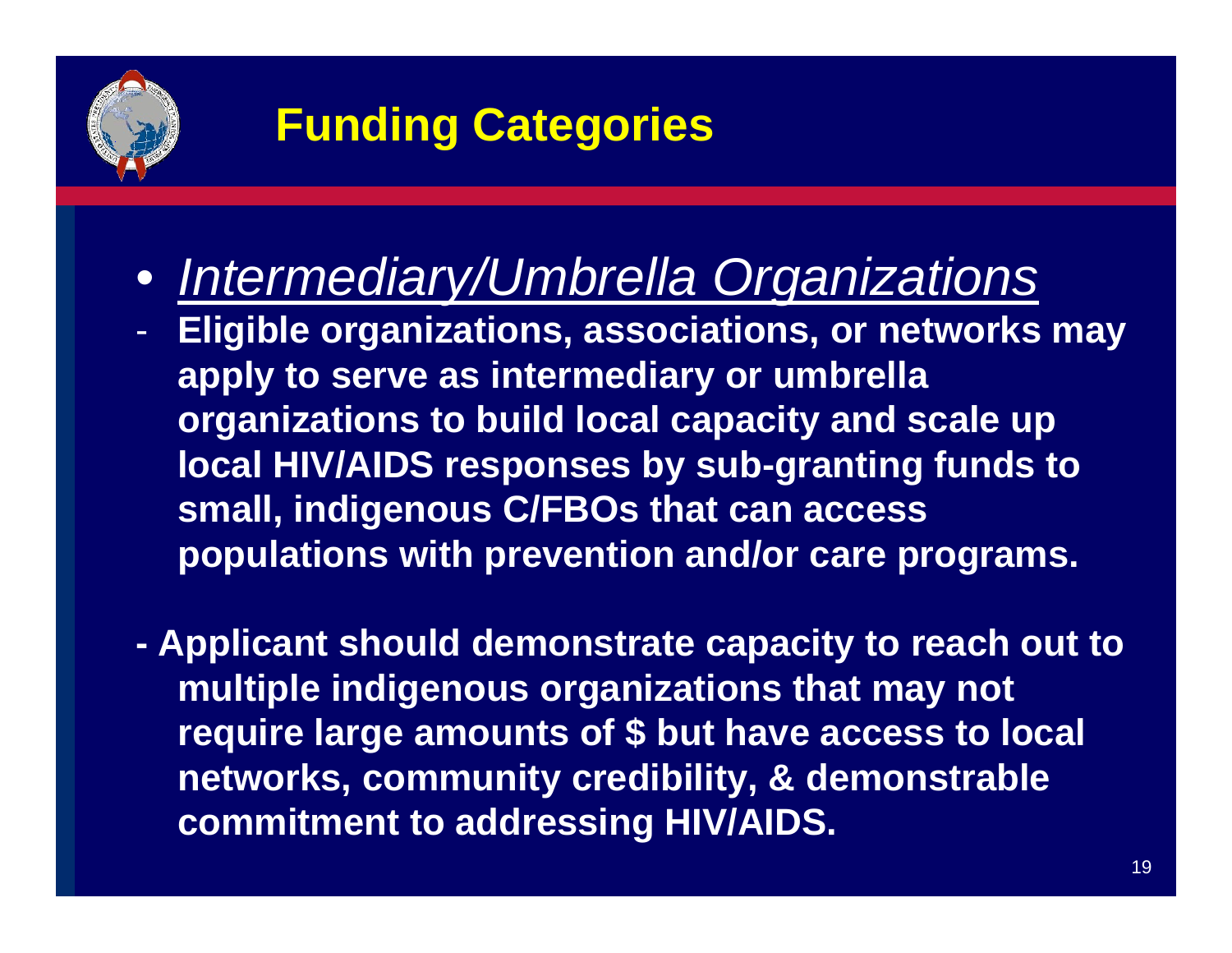

- *Intermediary/Umbrella Organizations*
- - **Eligible organizations, associations, or networks may apply to serve as intermediary or umbrella organizations to build local capacity and scale up local HIV/AIDS responses by sub-granting funds to small, indigenous C/FBOs that can access populations with prevention and/or care programs.**
- **- Applicant should demonstrate capacity to reach out to multiple indigenous organizations that may not require large amounts of \$ but have access to local networks, community credibility, & demonstrable commitment to addressing HIV/AIDS.**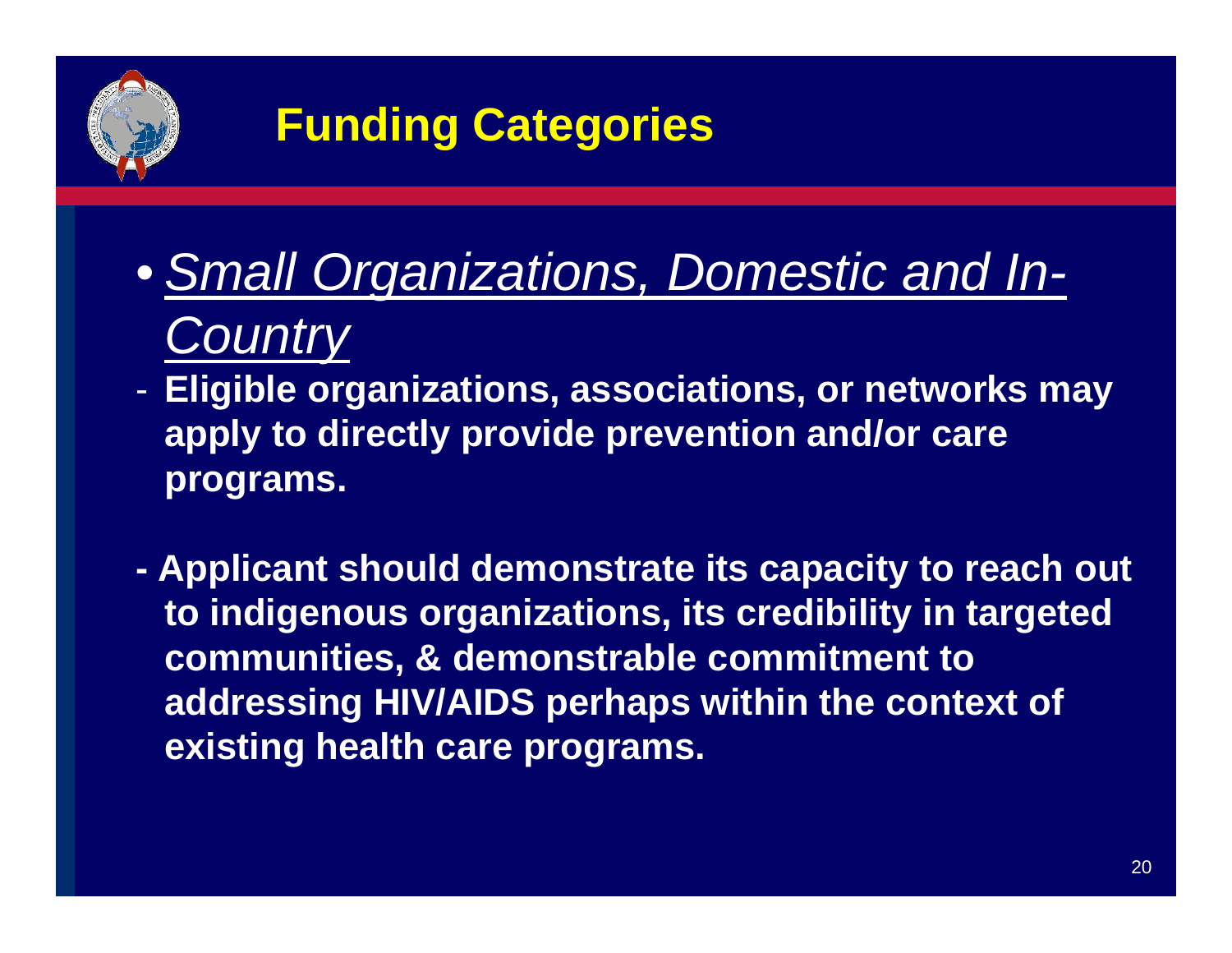

- *Small Organizations, Domestic and In-Country*
- - **Eligible organizations, associations, or networks may apply to directly provide prevention and/or care programs.**
- **Applicant should demonstrate its capacity to reach out to indigenous organizations, its credibility in targeted communities, & demonstrable commitment to addressing HIV/AIDS perhaps within the context of existing health care programs.**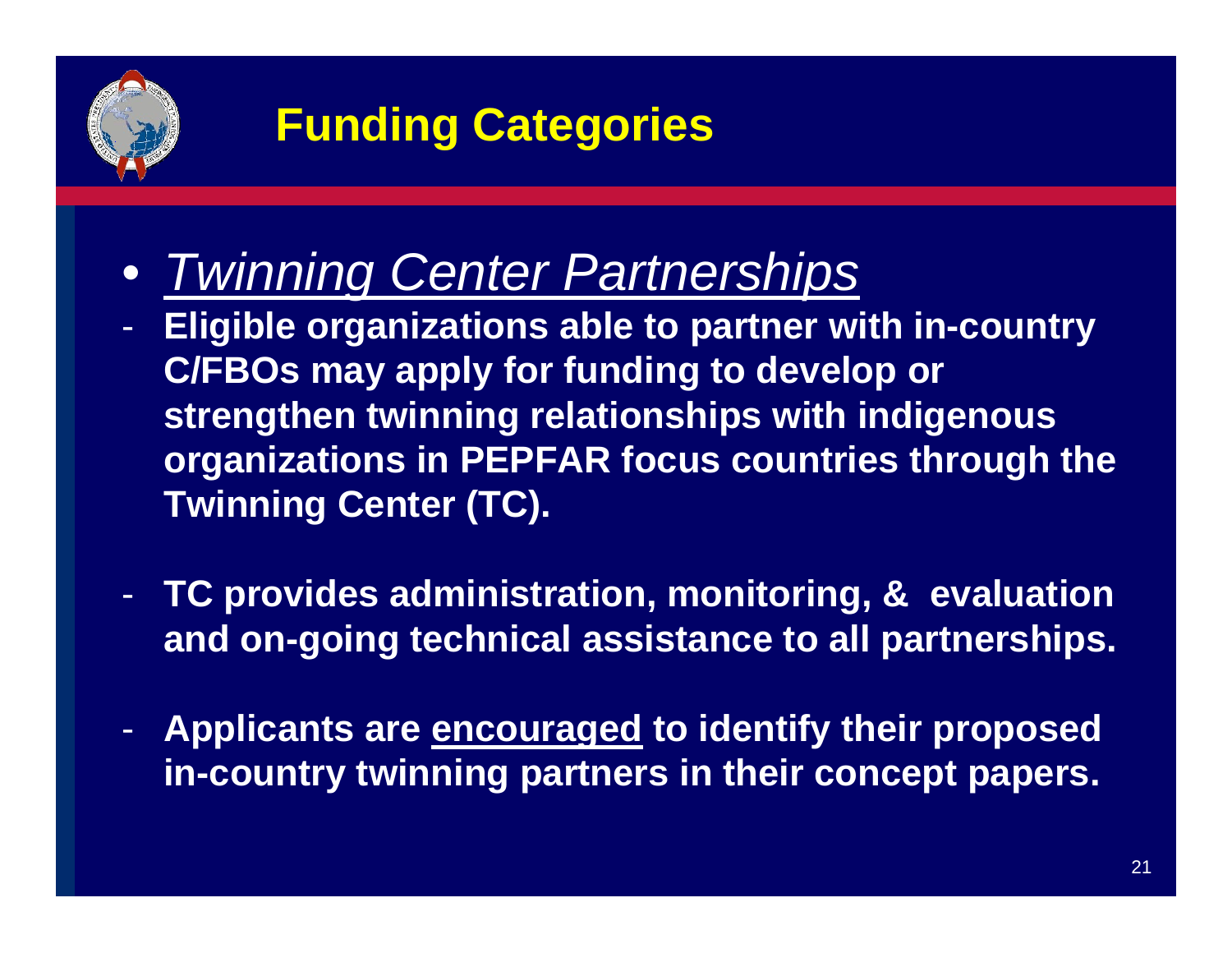

- *Twinning Center Partnerships*
- - **Eligible organizations able to partner with in-country C/FBOs may apply for funding to develop or strengthen twinning relationships with indigenous organizations in PEPFAR focus countries through the Twinning Center (TC).**
- - **TC provides administration, monitoring, & evaluation and on-going technical assistance to all partnerships.**
- - **Applicants are encouraged to identify their proposed in-country twinning partners in their concept papers.**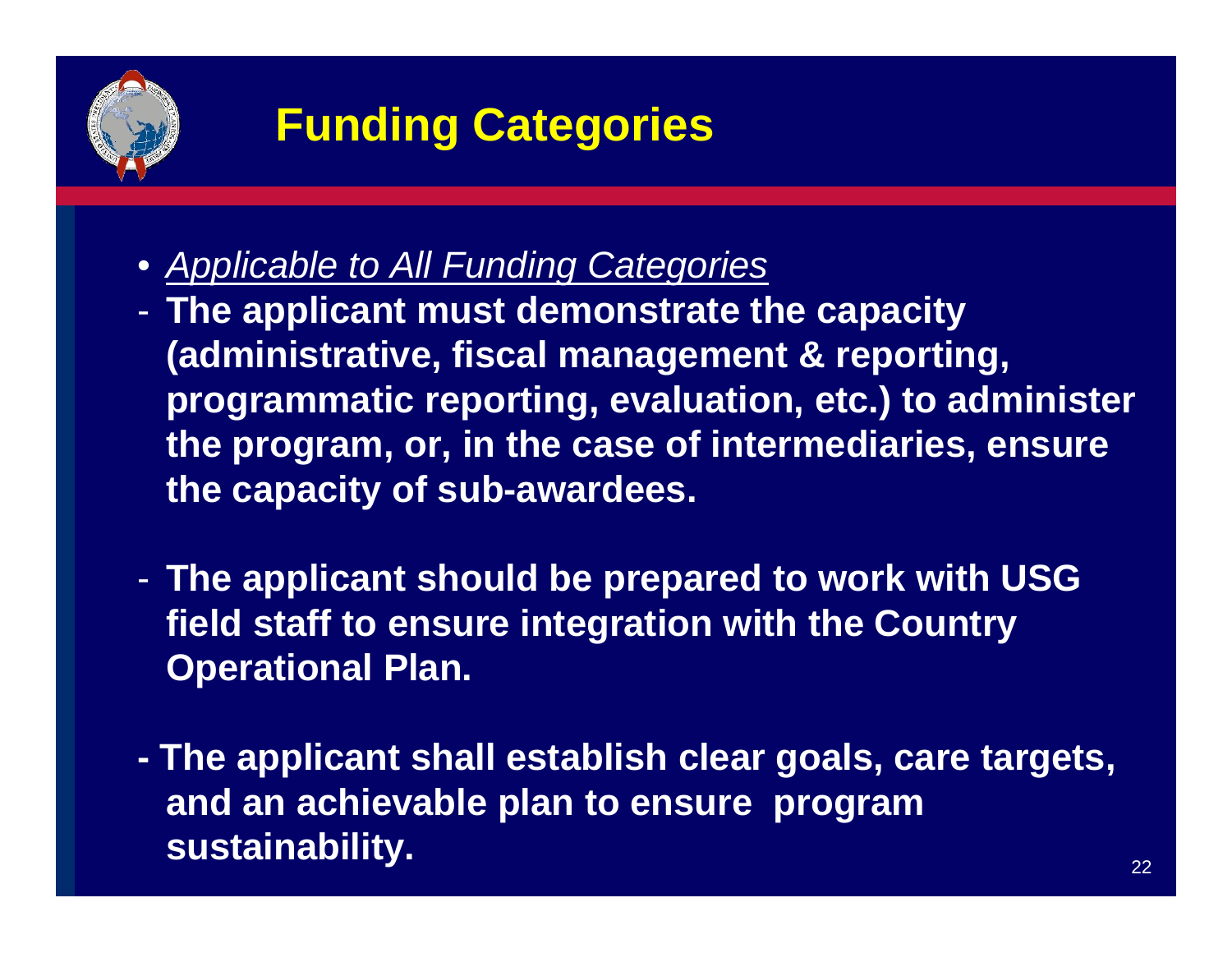

- *Applicable to All Funding Categories*
- - **The applicant must demonstrate the capacity (administrative, fiscal management & reporting, programmatic reporting, evaluation, etc.) to administer the program, or, in the case of intermediaries, ensure the capacity of sub-awardees.**
- - **The applicant should be prepared to work with USG field staff to ensure integration with the Country Operational Plan.**
- **The applicant shall establish clear goals, care targets, and an achievable plan to ensure program sustainability.**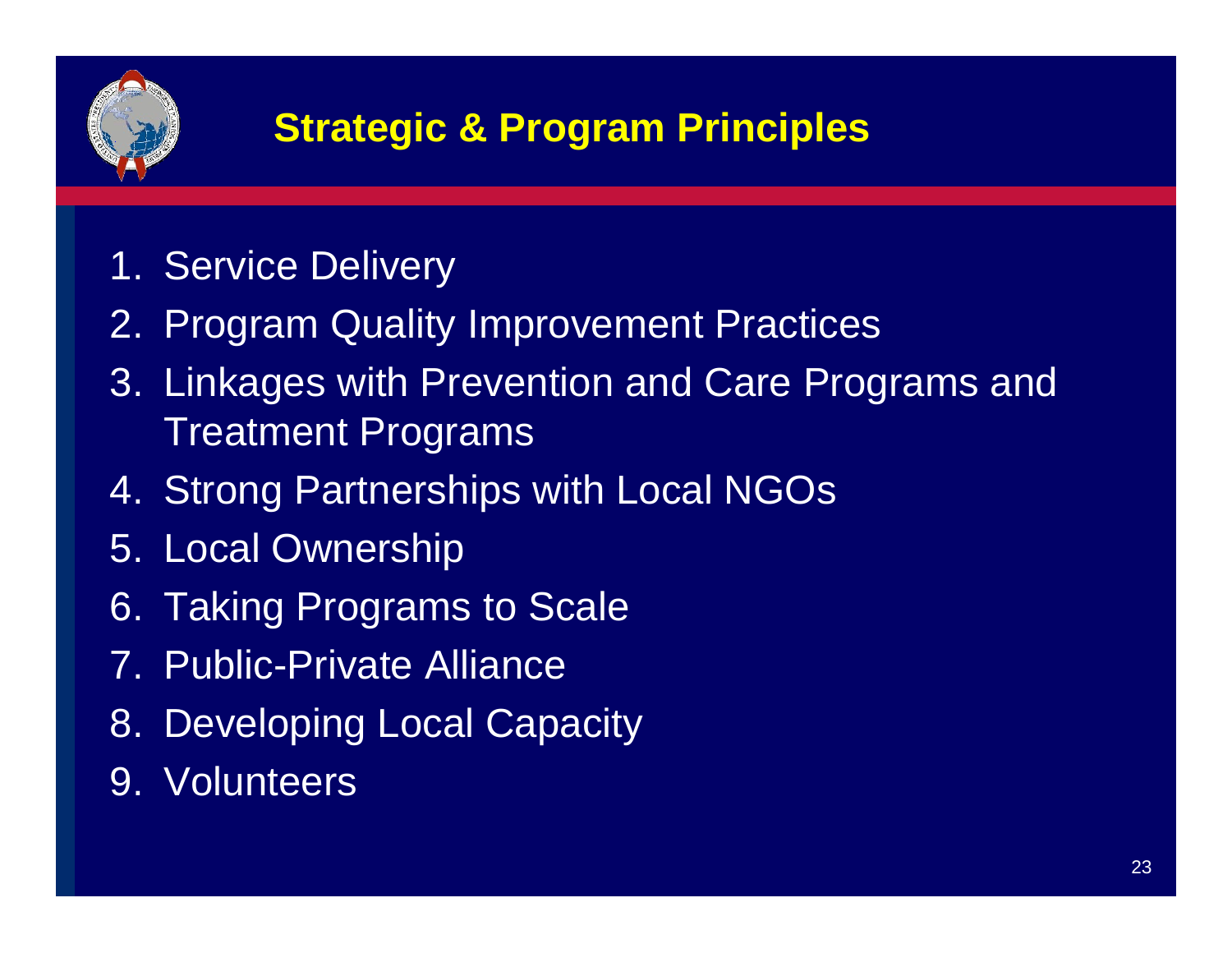

### **Strategic & Program Principles**

- 1. Service Delivery
- 2. Program Quality Improvement Practices
- 3. Linkages with Prevention and Care Programs and Treatment Programs
- 4. Strong Partnerships with Local NGOs
- 5. Local Ownership
- 6. Taking Programs to Scale
- 7. Public-Private Alliance
- 8. Developing Local Capacity
- 9. Volunteers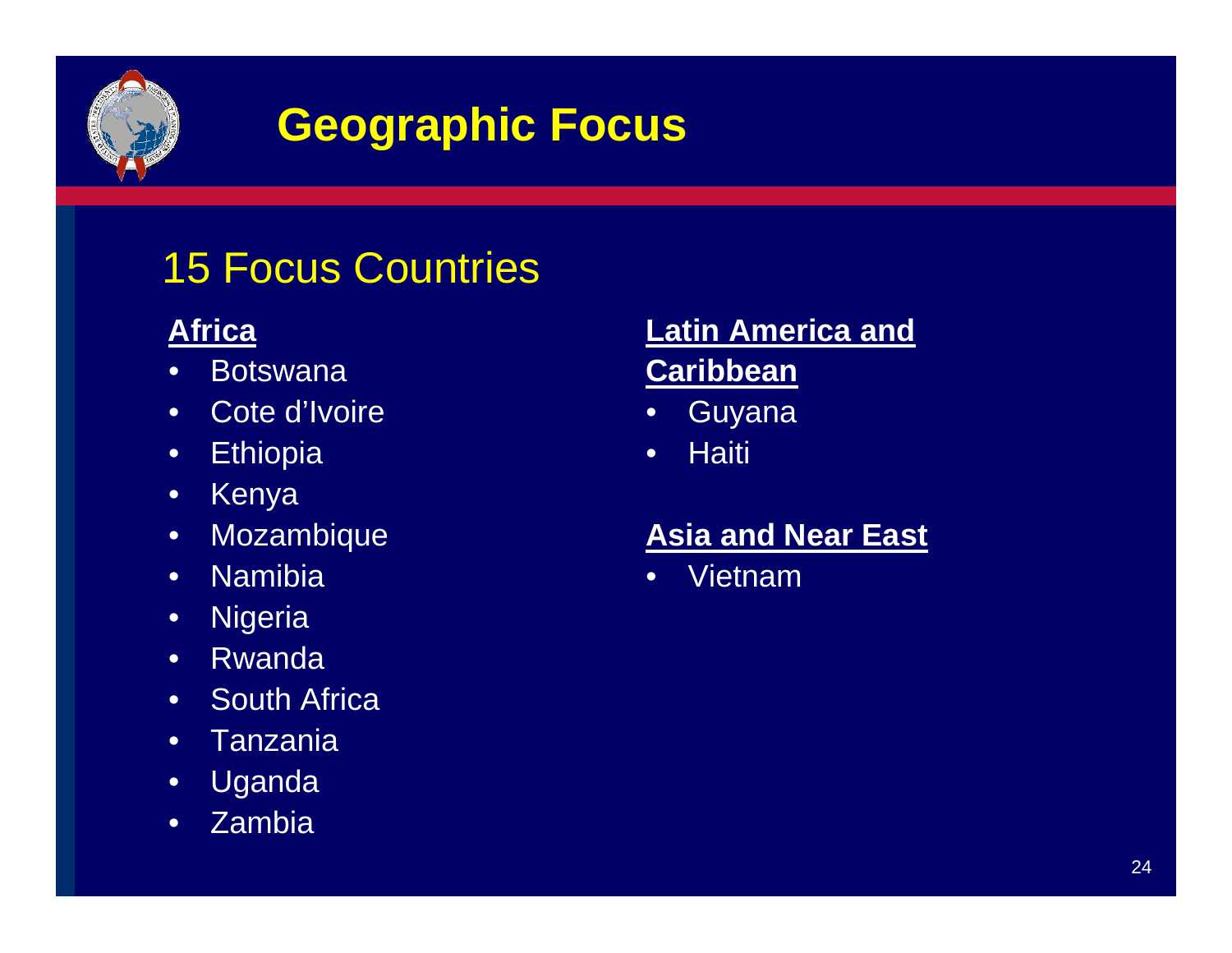

### **Geographic Focus**

#### 15 Focus Countries

#### **Africa**

- •**Botswana**
- Cote d'Ivoire
- Ethiopia
- •Kenya
- Mozambique
- •**Namibia**
- Nigeria
- •Rwanda
- South Africa
- Tanzania
- Uganda
- Zambia

#### **Latin America and Caribbean**

- •Guyana
- •**Haiti**

#### **Asia and Near East**

•Vietnam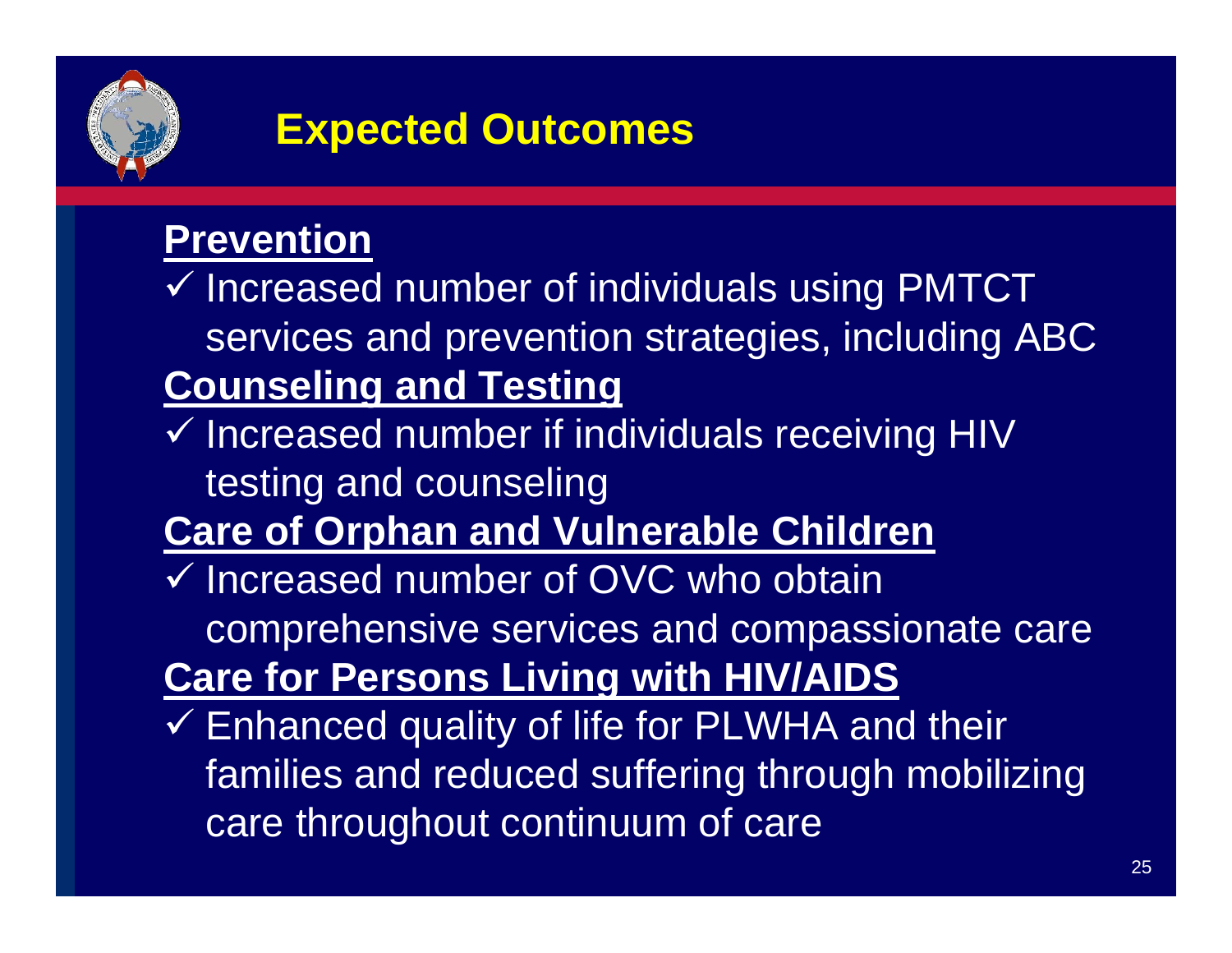

#### **Expected Outcomes**

#### **Prevention**

- $\checkmark$  Increased number of individuals using PMTCT services and prevention strategies, including ABC **Counseling and Testing**
- $\checkmark$  Increased number if individuals receiving HIV testing and counseling

#### **Care of Orphan and Vulnerable Children**

- $\checkmark$  Increased number of OVC who obtain comprehensive services and compassionate care **Care for Persons Living with HIV/AIDS**
- $\checkmark$  Enhanced quality of life for PLWHA and their families and reduced suffering through mobilizing care throughout continuum of care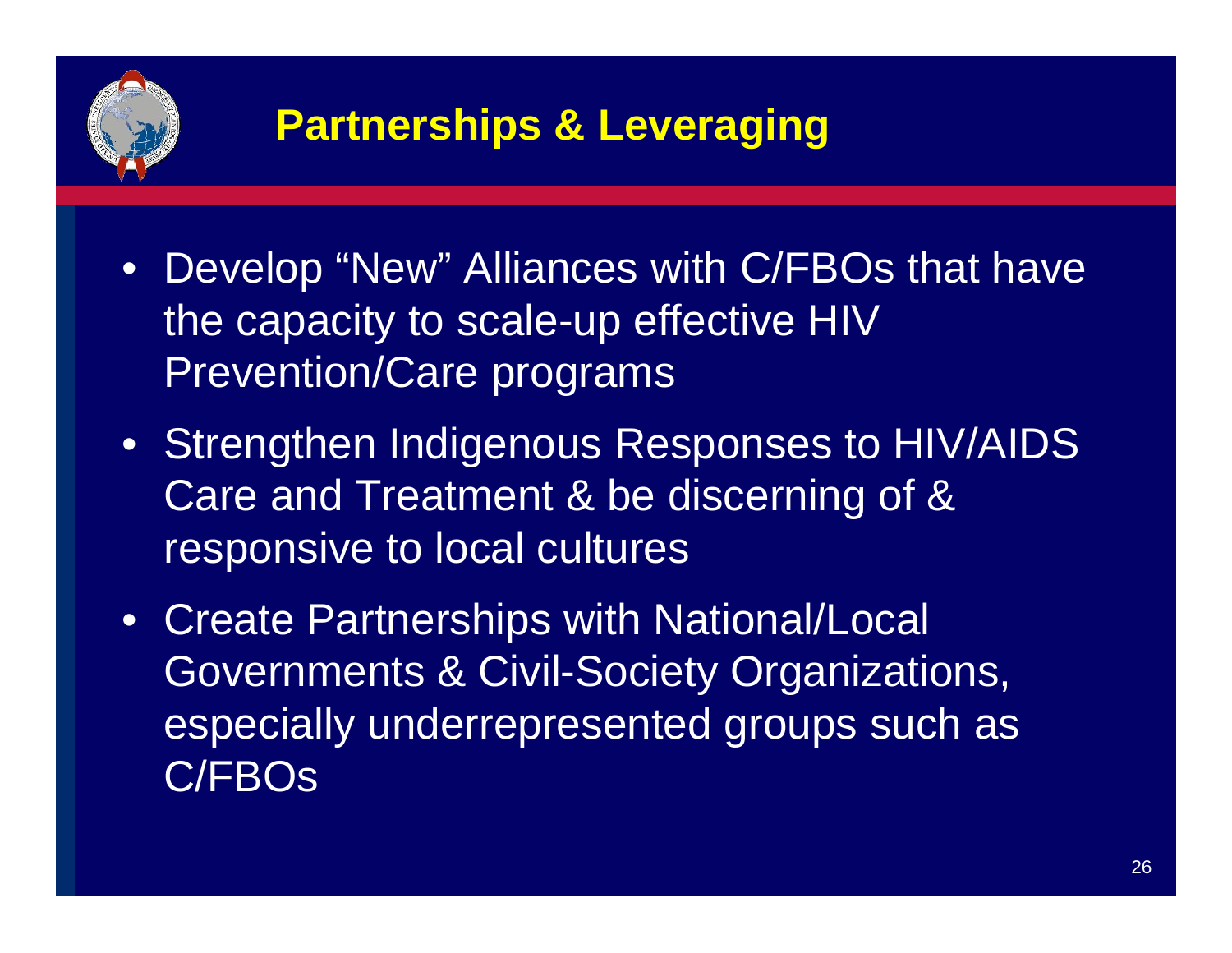

#### **Partnerships & Leveraging**

- Develop "New" Alliances with C/FBOs that have the capacity to scale-up effective HIV Prevention/Care programs
- Strengthen Indigenous Responses to HIV/AIDS Care and Treatment & be discerning of & responsive to local cultures
- Create Partnerships with National/Local Governments & Civil-Society Organizations, especially underrepresented groups such as C/FBOs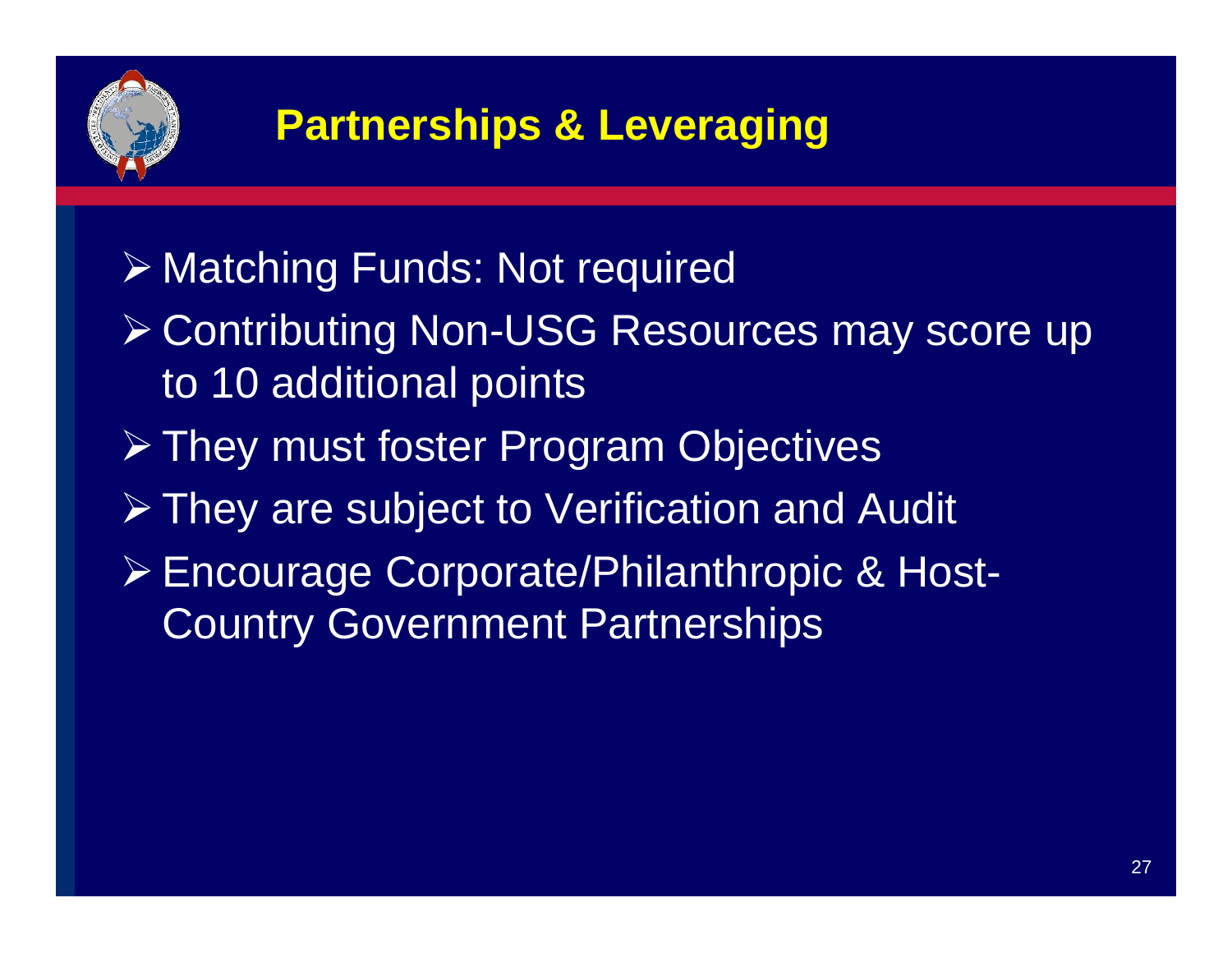

### **Partnerships & Leveraging**

#### ¾ Matching Funds: Not required

- ¾ Contributing Non-USG Resources may score up to 10 additional points
- ¾ They must foster Program Objectives
- ¾ They are subject to Verification and Audit
- ¾ Encourage Corporate/Philanthropic & Host-Country Government Partnerships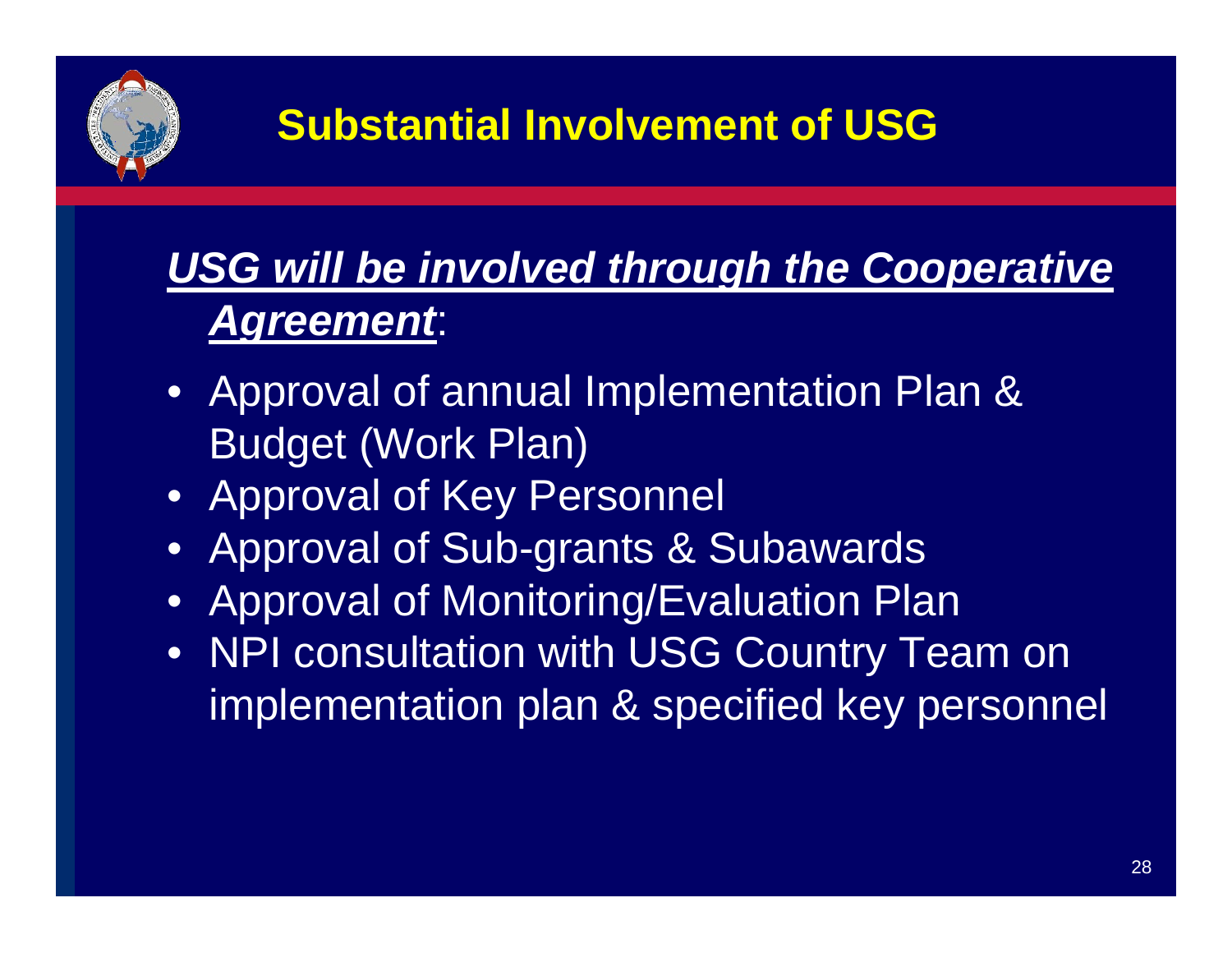

### **USG will be involved through the Cooperative** *Agreement*:

- Approval of annual Implementation Plan & Budget (Work Plan)
- Approval of Key Personnel
- Approval of Sub-grants & Subawards
- Approval of Monitoring/Evaluation Plan
- NPI consultation with USG Country Team on implementation plan & specified key personnel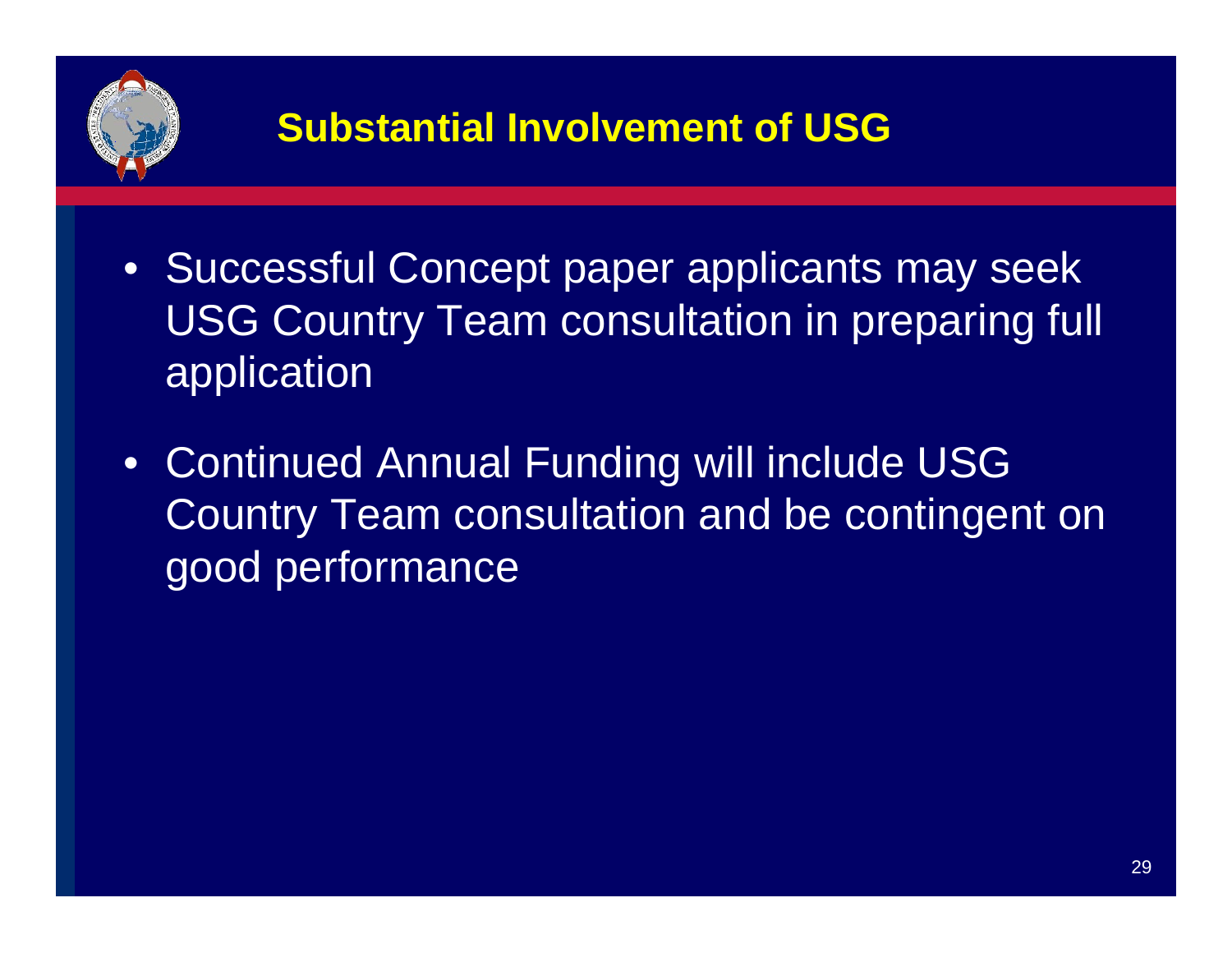

#### **Substantial Involvement of USG**

- Successful Concept paper applicants may seek USG Country Team consultation in preparing full application
- $\bullet$  Continued Annual Funding will include USG Country Team consultation and be contingent on good performance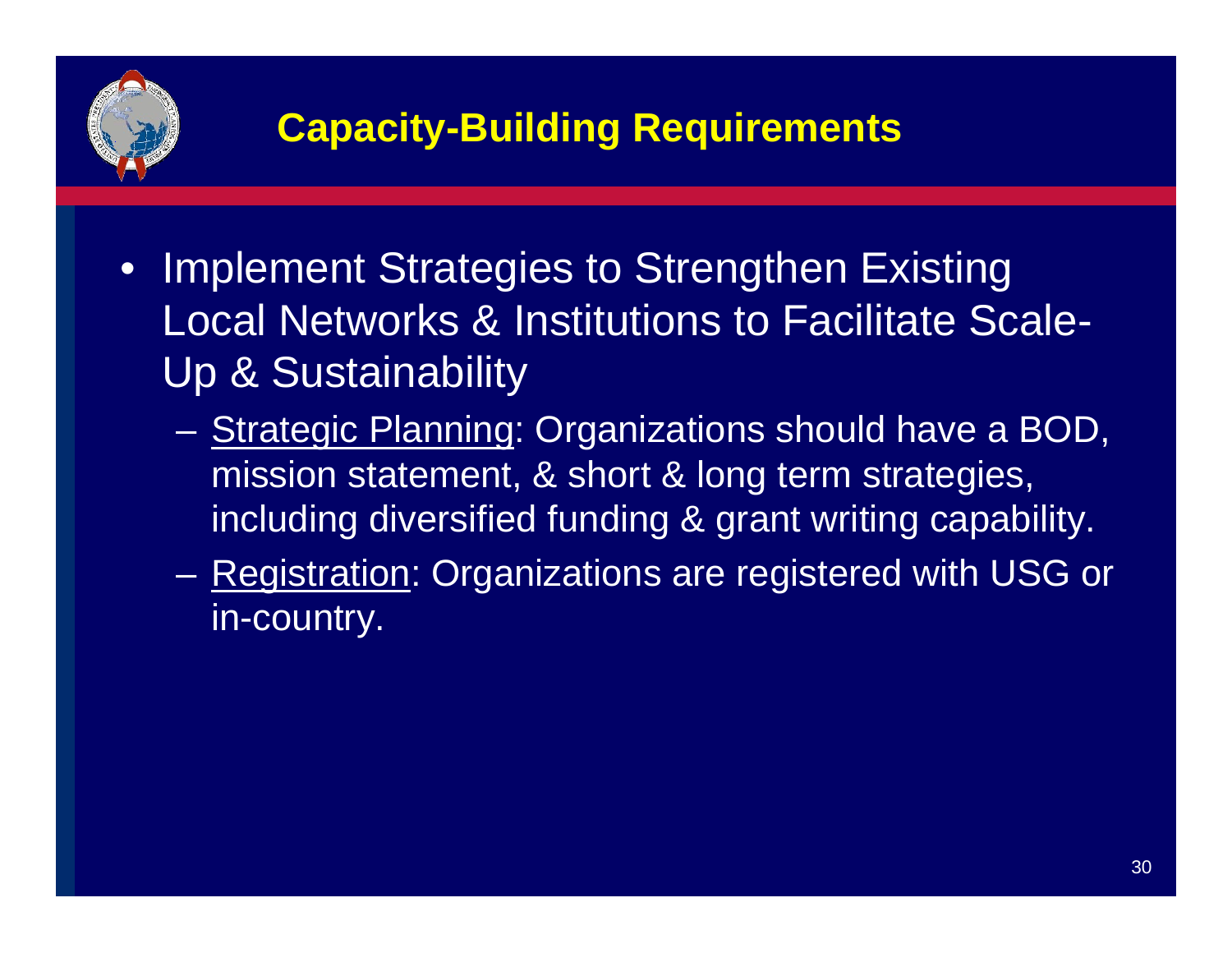

- Implement Strategies to Strengthen Existing Local Networks & Institutions to Facilitate Scale-Up & Sustainability
	- $\mathcal{L}_{\mathcal{A}}$  Strategic Planning: Organizations should have a BOD, mission statement, & short & long term strategies, including diversified funding & grant writing capability.
	- Registration: Organizations are registered with USG or in-country.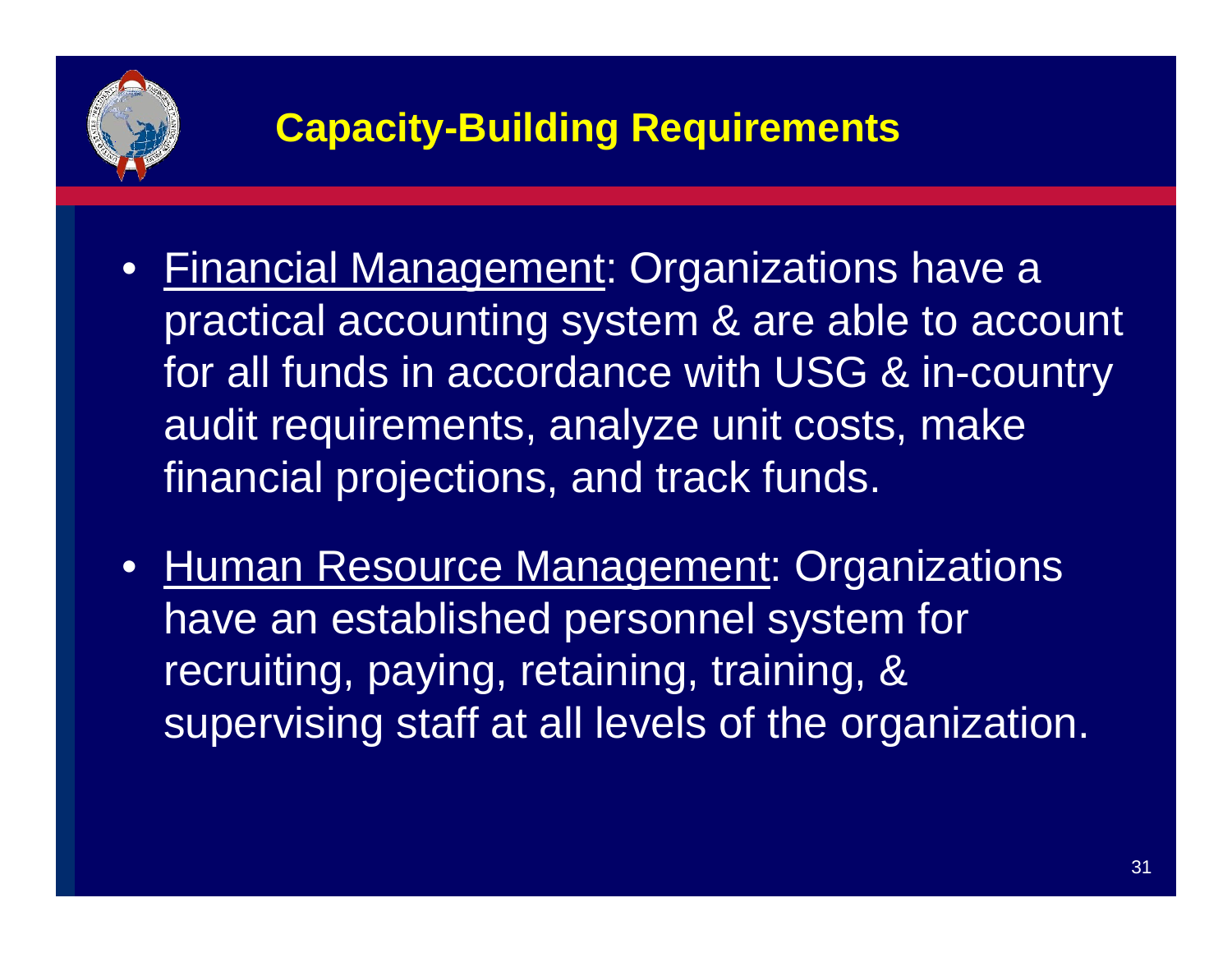

- Financial Management: Organizations have a practical accounting system & are able to account for all funds in accordance with USG & in-country audit requirements, analyze unit costs, make financial projections, and track funds.
- Human Resource Management: Organizations have an established personnel system for recruiting, paying, retaining, training, & supervising staff at all levels of the organization.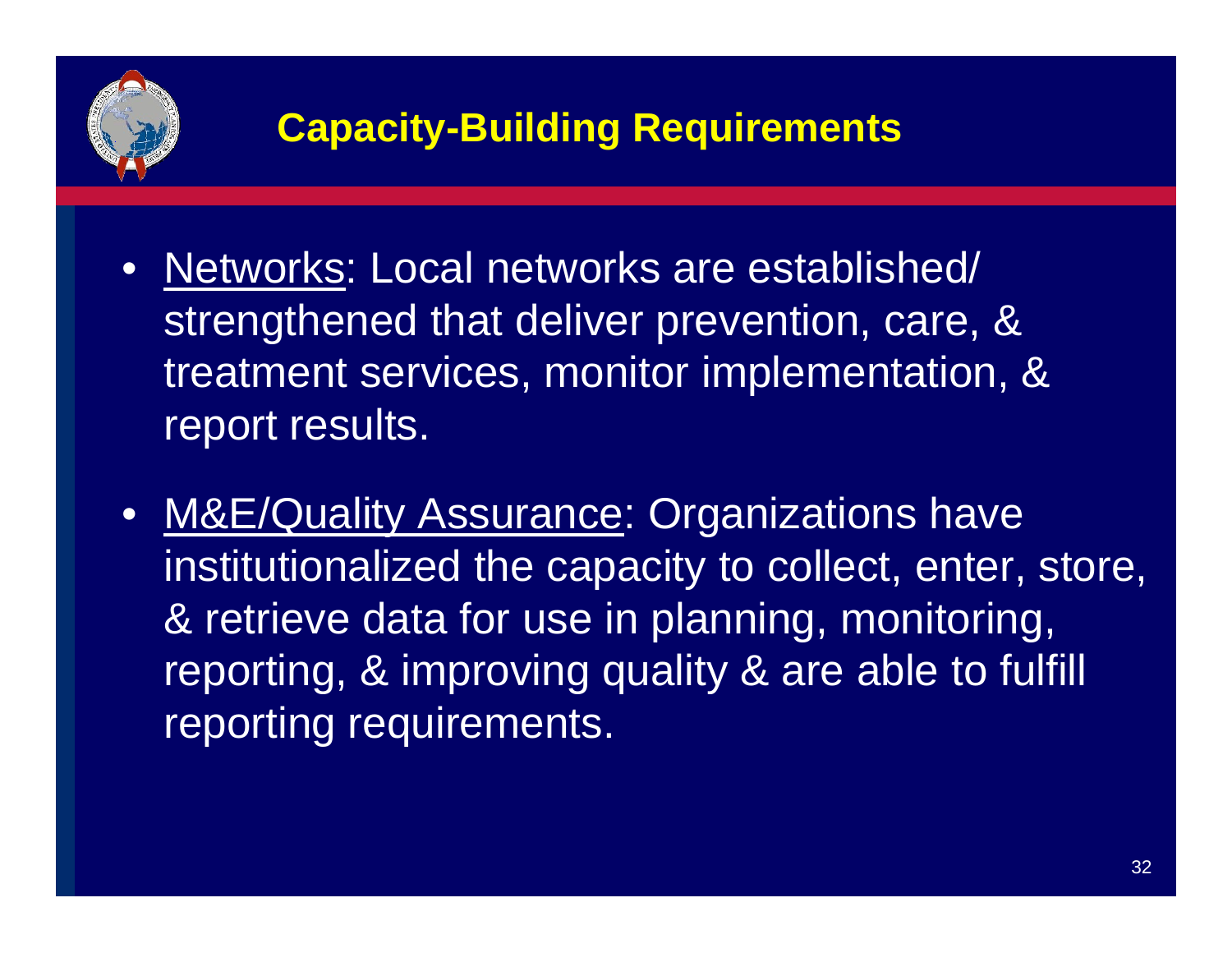

- Networks: Local networks are established/ strengthened that deliver prevention, care, & treatment services, monitor implementation, & report results.
- M&E/Quality Assurance: Organizations have institutionalized the capacity to collect, enter, store, & retrieve data for use in planning, monitoring, reporting, & improving quality & are able to fulfill reporting requirements.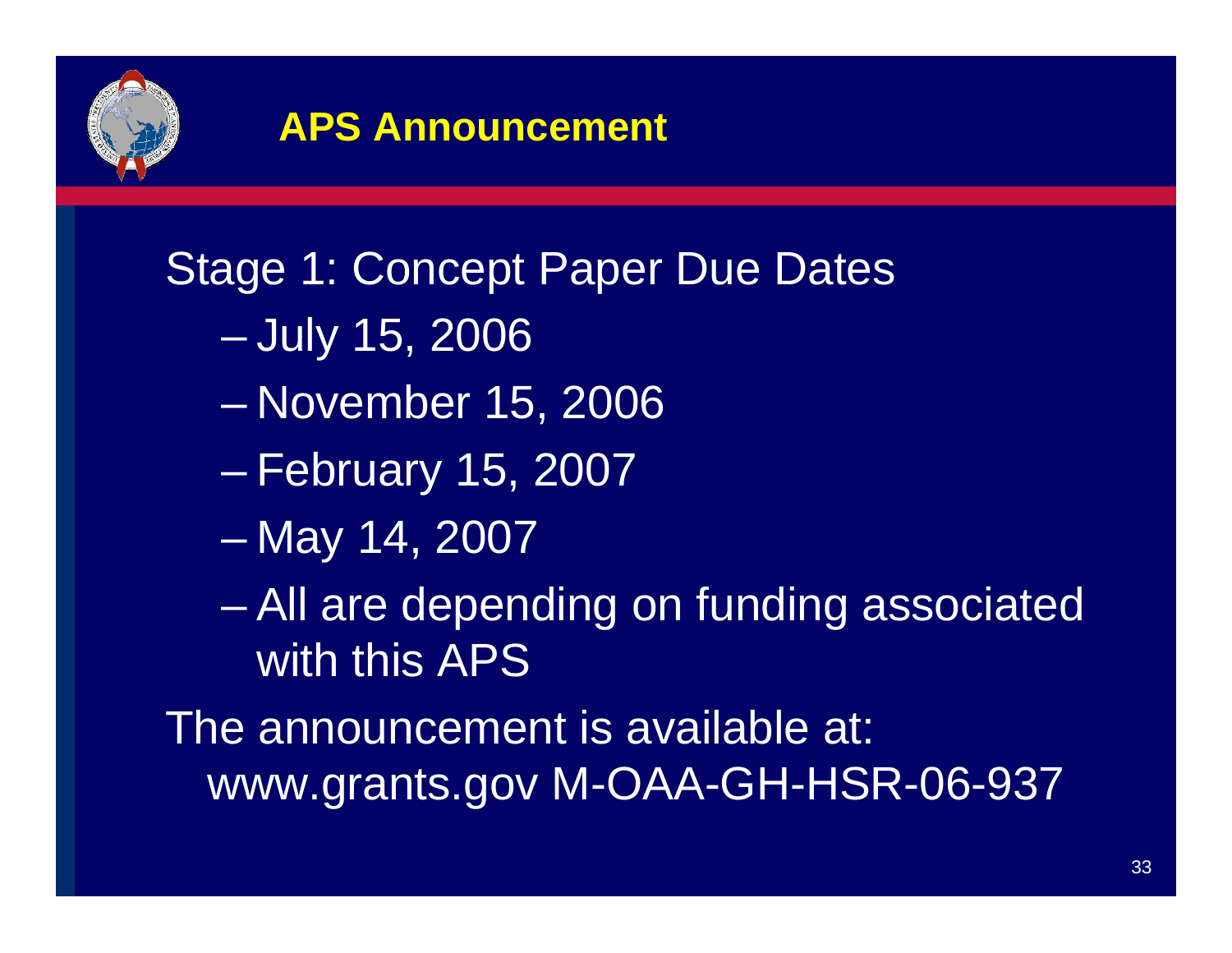

#### **APS Announcement**

Stage 1: Concept Paper Due Dates

- $\mathcal{L}_{\mathcal{A}}$ July 15, 2006
- –November 15, 2006
- $\mathcal{L}_{\mathcal{A}}$ February 15, 2007
- –May 14, 2007
- – All are depending on funding associated with this APS

The announcement is available at: www.grants.gov M-OAA-GH-HSR-06-937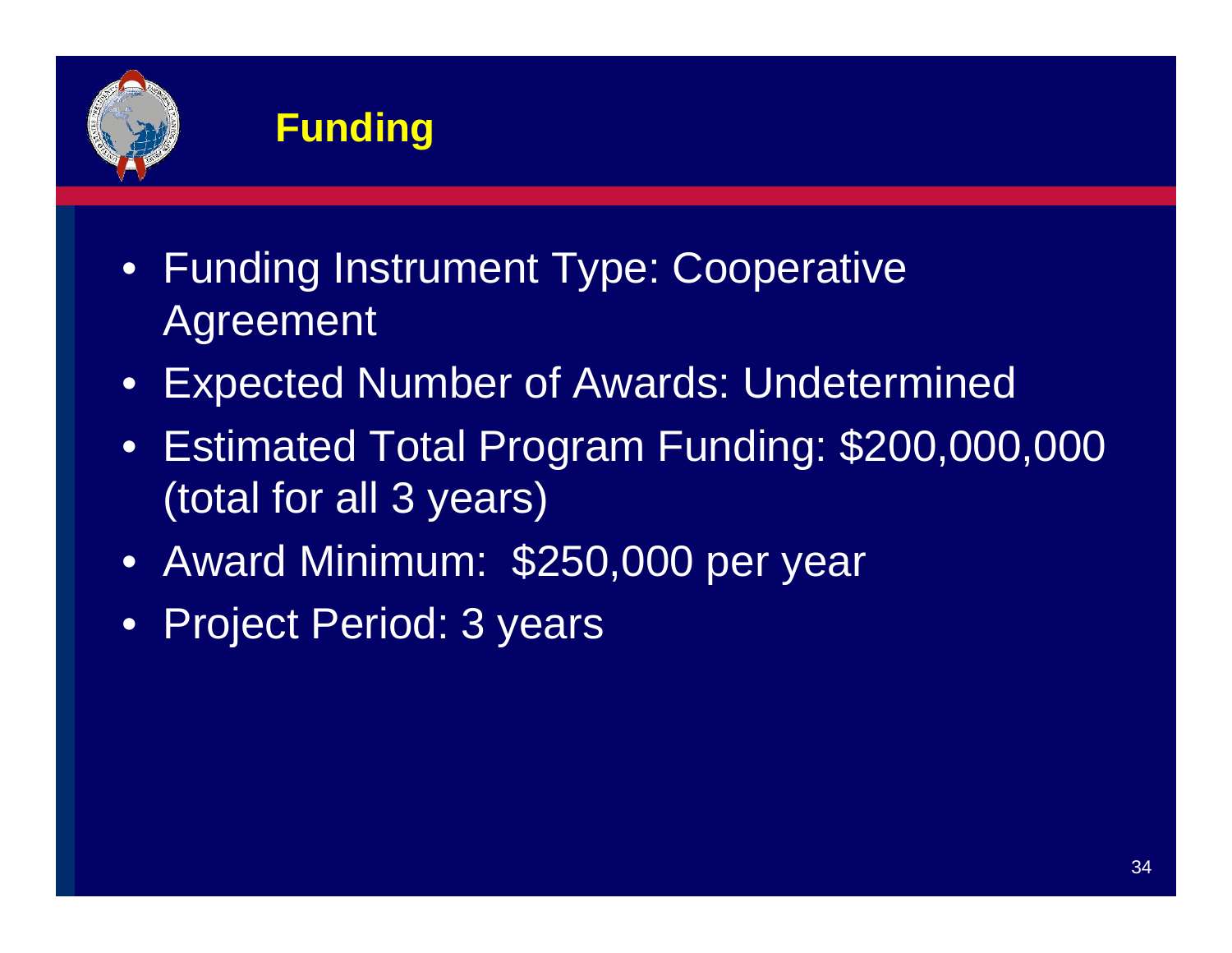

#### **Funding**

- Funding Instrument Type: Cooperative Agreement
- $\bullet$ Expected Number of Awards: Undetermined
- Estimated Total Program Funding: \$200,000,000 (total for all 3 years)
- Award Minimum: \$250,000 per year
- Project Period: 3 years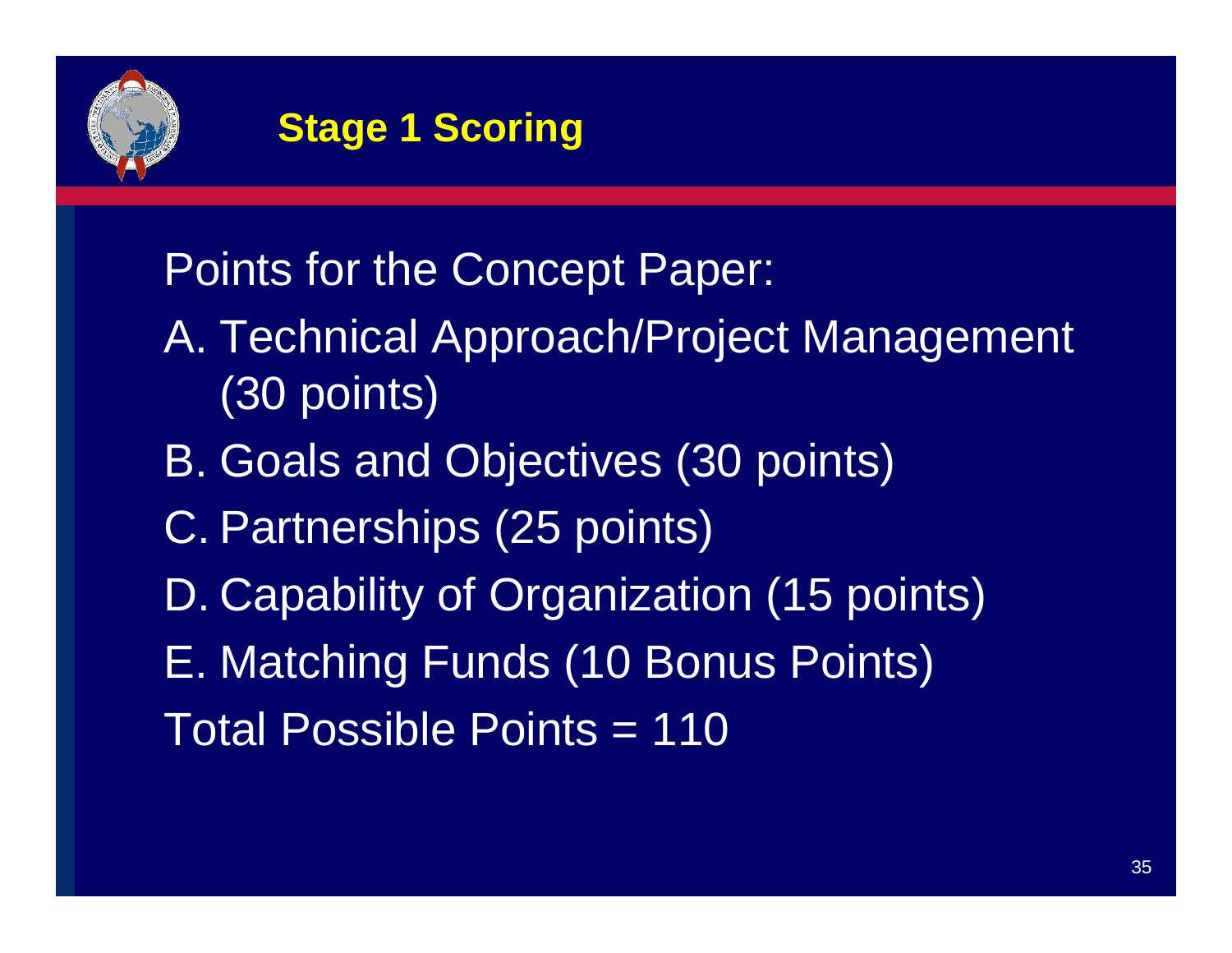

#### **Stage 1 Scoring**

### Points for the Concept Paper:

- A. Technical Approach/Project Management (30 points)
- B. Goals and Objectives (30 points)
- C. Partnerships (25 points)
- D. Capability of Organization (15 points)
- E. Matching Funds (10 Bonus Points)
- Total Possible Points = 110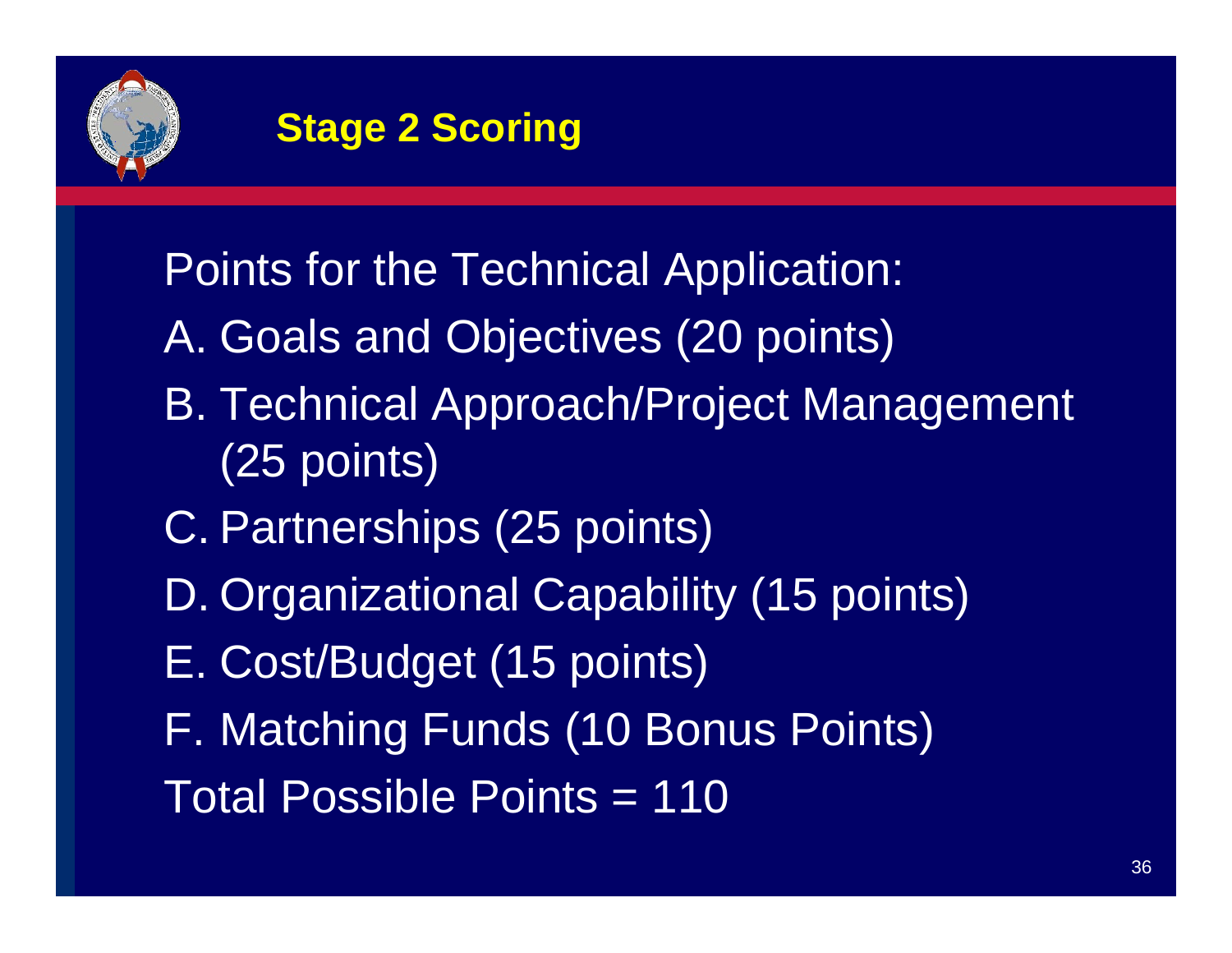

#### **Stage 2 Scoring**

Points for the Technical Application:

- A. Goals and Objectives (20 points)
- B. Technical Approach/Project Management (25 points)
- C. Partnerships (25 points)
- D. Organizational Capability (15 points)
- E. Cost/Budget (15 points)
- F. Matching Funds (10 Bonus Points)
- Total Possible Points = 110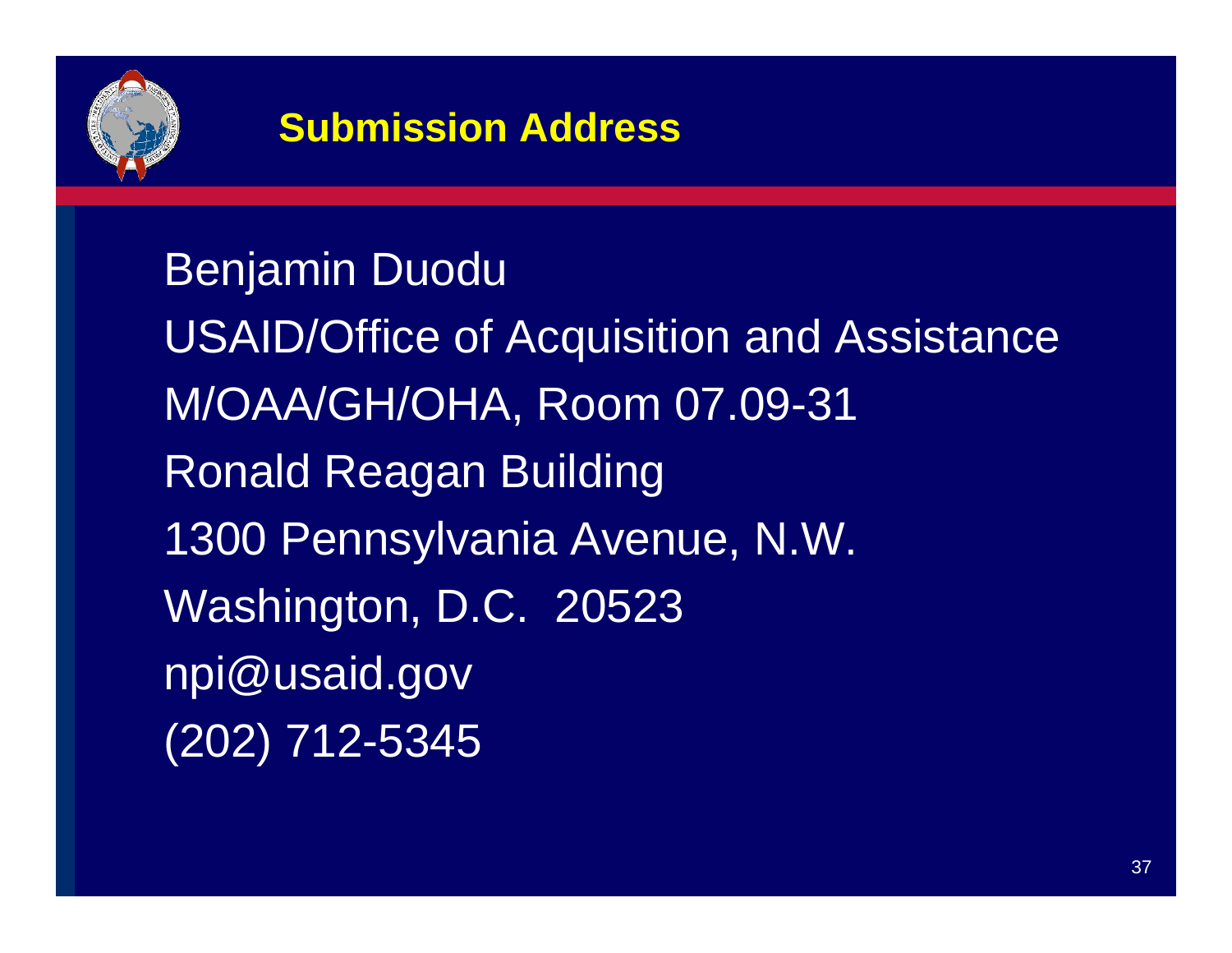

#### **Submission Address**

Benjamin Duodu USAID/Office of Acquisition and Assistance M/OAA/GH/OHA, Room 07.09-31 Ronald Reagan Building 1300 Pennsylvania Avenue, N.W. Washington, D.C. 20523 npi@usaid.gov (202) 712-5345